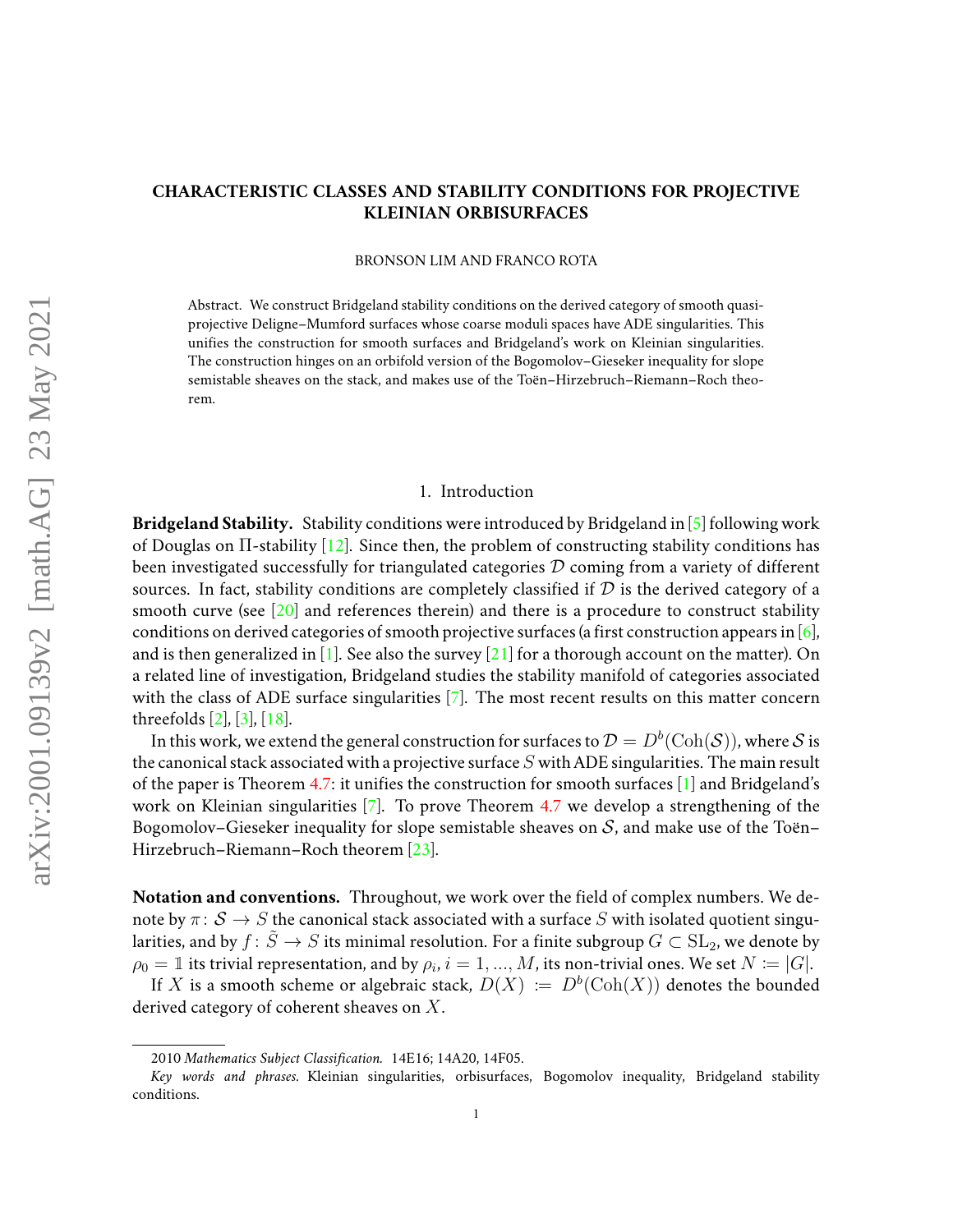# **CHARACTERISTIC CLASSES AND STABILITY CONDITIONS FOR PROJECTIVE KLEINIAN ORBISURFACES**

BRONSON LIM AND FRANCO ROTA

Abstract. We construct Bridgeland stability conditions on the derived category of smooth quasiprojective Deligne–Mumford surfaces whose coarse moduli spaces have ADE singularities. This unifies the construction for smooth surfaces and Bridgeland's work on Kleinian singularities. The construction hinges on an orbifold version of the Bogomolov–Gieseker inequality for slope semistable sheaves on the stack, and makes use of the Toën–Hirzebruch–Riemann–Roch theorem.

#### 1. Introduction

**Bridgeland Stability.** Stability conditions were introduced by Bridgeland in [\[5\]](#page-20-0) following work of Douglas on Π-stability [\[12\]](#page-20-1). Since then, the problem of constructing stability conditions has been investigated successfully for triangulated categories  $D$  coming from a variety of different sources. In fact, stability conditions are completely classified if  $D$  is the derived category of a smooth curve (see  $\lceil 20 \rceil$  and references therein) and there is a procedure to construct stability conditions on derived categories of smooth projective surfaces (a first construction appears in  $[6]$ , and is then generalized in [\[1\]](#page-20-3). See also the survey [\[21\]](#page-21-1) for a thorough account on the matter). On a related line of investigation, Bridgeland studies the stability manifold of categories associated with the class of ADE surface singularities [\[7\]](#page-20-4). The most recent results on this matter concern threefolds [\[2\]](#page-20-5), [\[3\]](#page-20-6), [\[18\]](#page-21-2).

In this work, we extend the general construction for surfaces to  $\mathcal{D}=D^b(\text{Coh}(\mathcal{S}))$ , where  $\mathcal S$  is the canonical stack associated with a projective surface  $S$  with ADE singularities. The main result of the paper is Theorem [4.7:](#page-12-0) it unifies the construction for smooth surfaces [\[1\]](#page-20-3) and Bridgeland's work on Kleinian singularities  $[7]$ . To prove Theorem [4.7](#page-12-0) we develop a strengthening of the Bogomolov–Gieseker inequality for slope semistable sheaves on  $S$ , and make use of the Toën– Hirzebruch–Riemann–Roch theorem [\[23\]](#page-21-3).

**Notation and conventions.** Throughout, we work over the field of complex numbers. We denote by  $\pi: \mathcal{S} \to S$  the canonical stack associated with a surface S with isolated quotient singularities, and by  $f: \tilde{S} \to S$  its minimal resolution. For a finite subgroup  $G \subset SL_2$ , we denote by  $\rho_0=\mathbb{1}$  its trivial representation, and by  $\rho_i$ ,  $i=1,...,M$ , its non-trivial ones. We set  $N\coloneqq|G|.$ 

If X is a smooth scheme or algebraic stack,  $D(X) := D^b(\text{Coh}(X))$  denotes the bounded derived category of coherent sheaves on  $X$ .

<sup>2010</sup> *Mathematics Subject Classification.* 14E16; 14A20, 14F05.

*Key words and phrases.* Kleinian singularities, orbisurfaces, Bogomolov inequality, Bridgeland stability conditions.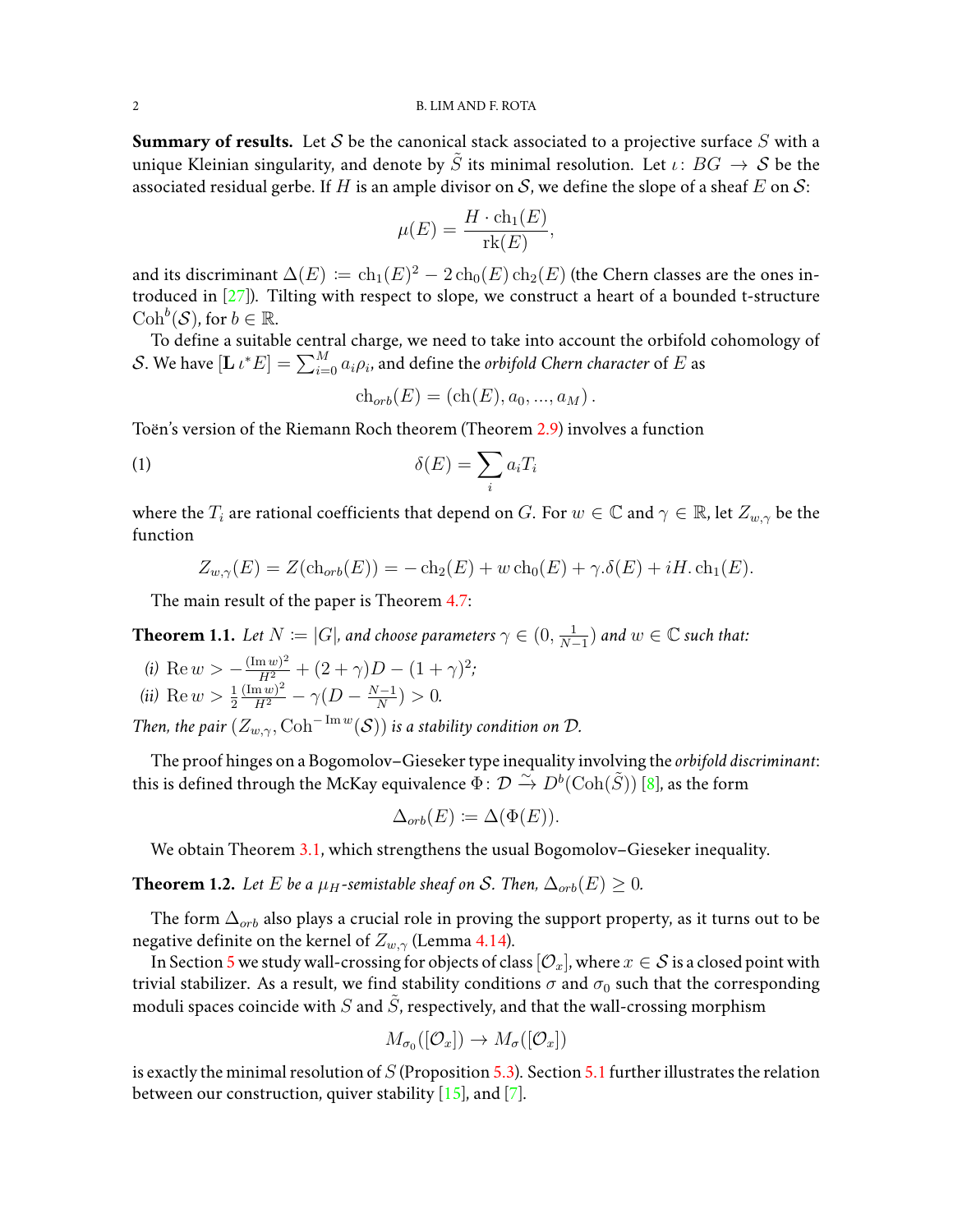#### 2 B. LIM AND F. ROTA

**Summary of results.** Let  $S$  be the canonical stack associated to a projective surface  $S$  with a unique Kleinian singularity, and denote by  $\tilde{S}$  its minimal resolution. Let  $\iota: BG \to S$  be the associated residual gerbe. If H is an ample divisor on S, we define the slope of a sheaf E on S:

$$
\mu(E) = \frac{H \cdot \mathrm{ch}_1(E)}{\mathrm{rk}(E)},
$$

and its discriminant  $\Delta(E)\coloneqq \ch_1(E)^2-2\ch_0(E)\ch_2(E)$  (the Chern classes are the ones introduced in  $[27]$ ). Tilting with respect to slope, we construct a heart of a bounded t-structure  $\mathrm{Coh}^b(\mathcal{S})$ , for  $b \in \mathbb{R}$ .

To define a suitable central charge, we need to take into account the orbifold cohomology of  $\mathcal{S}.$  We have  $[\mathbf{L} \, \iota^* E] = \sum_{i=0}^M a_i \rho_i,$  and define the  $\sigma$ rbifold Chern character of  $E$  as

$$
ch_{orb}(E) = (ch(E), a_0, ..., a_M).
$$

Toën's version of the Riemann Roch theorem (Theorem [2.9\)](#page-5-0) involves a function

$$
\delta(E) = \sum_i a_i T_i
$$

where the  $T_i$  are rational coefficients that depend on G. For  $w \in \mathbb{C}$  and  $\gamma \in \mathbb{R}$ , let  $Z_{w,\gamma}$  be the function

$$
Z_{w,\gamma}(E) = Z(\text{ch}_{orb}(E)) = -\text{ch}_2(E) + w \text{ ch}_0(E) + \gamma \cdot \delta(E) + iH \cdot \text{ch}_1(E).
$$

The main result of the paper is Theorem [4.7:](#page-12-0)

**Theorem 1.1.** Let  $N \coloneqq |G|$ , and choose parameters  $\gamma \in (0, \frac{1}{N-1})$  $\frac{1}{N-1}$ ) and  $w \in \mathbb{C}$  such that:

*(i)* Re  $w > -\frac{(\text{Im } w)^2}{H^2} + (2+\gamma)D - (1+\gamma)^2;$ *(ii)* Re  $w > \frac{1}{2}$  $\frac{(\text{Im } w)^2}{H^2} - \gamma(D - \frac{N-1}{N})$  $\frac{(-1)}{N}$  > 0.

*Then, the pair*  $(Z_{w,\gamma}, \mathrm{Coh}^{-\mathrm{Im}\,w}(\mathcal{S}))$  *is a stability condition on*  $\mathcal{D}$ *.* 

The proof hinges on a Bogomolov–Gieseker type inequality involving the *orbifold discriminant*: this is defined through the McKay equivalence  $\Phi: \mathcal{D} \overset{\sim}{\to} D^b(\mathrm{Coh}(\tilde{S}))$  [\[8\]](#page-20-7), as the form

$$
\Delta_{orb}(E) \coloneqq \Delta(\Phi(E)).
$$

We obtain Theorem [3.1,](#page-7-0) which strengthens the usual Bogomolov–Gieseker inequality.

**Theorem 1.2.** *Let E be a*  $\mu$ *H*-semistable sheaf on *S*. *Then*,  $\Delta_{orb}(E) \geq 0$ *.* 

The form  $\Delta_{orb}$  also plays a crucial role in proving the support property, as it turns out to be negative definite on the kernel of  $Z_{w,\gamma}$  (Lemma [4.14\)](#page-14-0).

In Section [5](#page-18-0) we study wall-crossing for objects of class  $[O_x]$ , where  $x \in S$  is a closed point with trivial stabilizer. As a result, we find stability conditions  $\sigma$  and  $\sigma_0$  such that the corresponding moduli spaces coincide with S and S, respectively, and that the wall-crossing morphism

$$
M_{\sigma_0}([\mathcal{O}_x]) \to M_{\sigma}([\mathcal{O}_x])
$$

is exactly the minimal resolution of  $S$  (Proposition [5.3\)](#page-19-0). Section [5.1](#page-19-1) further illustrates the relation between our construction, quiver stability  $[15]$ , and  $[7]$ .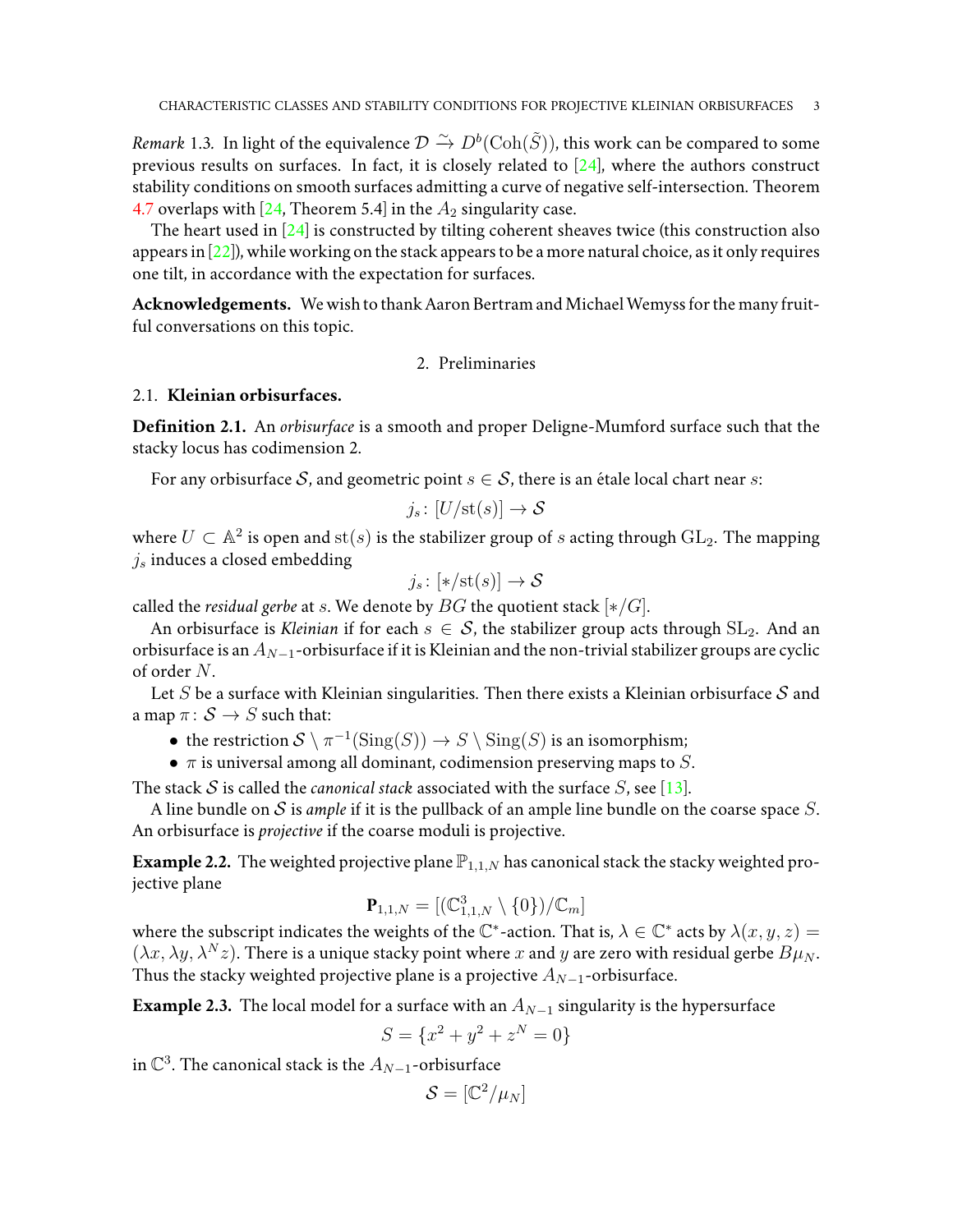*Remark* 1.3. In light of the equivalence  $\mathcal{D} \overset{\sim}{\to} D^b(\text{Coh}(\tilde{S}))$ , this work can be compared to some previous results on surfaces. In fact, it is closely related to  $[24]$ , where the authors construct stability conditions on smooth surfaces admitting a curve of negative self-intersection. Theorem [4.7](#page-12-0) overlaps with [\[24,](#page-21-5) Theorem 5.4] in the  $A_2$  singularity case.

The heart used in [\[24\]](#page-21-5) is constructed by tilting coherent sheaves twice (this construction also appears in  $[22]$ ), while working on the stack appears to be a more natural choice, as it only requires one tilt, in accordance with the expectation for surfaces.

Acknowledgements. We wish to thank Aaron Bertram and Michael Wemyss for the many fruitful conversations on this topic.

## 2. Preliminaries

## 2.1. **Kleinian orbisurfaces.**

**Definition 2.1.** An *orbisurface* is a smooth and proper Deligne-Mumford surface such that the stacky locus has codimension 2.

For any orbisurface S, and geometric point  $s \in S$ , there is an étale local chart near s:

$$
j_s\colon [U/\mathrm{st}(s)]\to \mathcal{S}
$$

where  $U\subset \mathbb{A}^2$  is open and  $\mathrm{st}(s)$  is the stabilizer group of  $s$  acting through  $\mathrm{GL}_2.$  The mapping  $j_s$  induces a closed embedding

$$
j_s \colon [*/\mathrm{st}(s)] \to \mathcal{S}
$$

called the *residual gerbe* at *s*. We denote by  $BG$  the quotient stack  $[*/G]$ .

An orbisurface is *Kleinian* if for each  $s \in S$ , the stabilizer group acts through  $SL_2$ . And an orbisurface is an  $A_{N-1}$ -orbisurface if it is Kleinian and the non-trivial stabilizer groups are cyclic of order N.

Let S be a surface with Kleinian singularities. Then there exists a Kleinian orbisurface  $S$  and a map  $\pi: \mathcal{S} \to S$  such that:

- the restriction  $S \setminus \pi^{-1}(\mathrm{Sing}(S)) \to S \setminus \mathrm{Sing}(S)$  is an isomorphism;
- $\pi$  is universal among all dominant, codimension preserving maps to S.

The stack  $S$  is called the *canonical stack* associated with the surface  $S$ , see [\[13\]](#page-20-9).

A line bundle on S is *ample* if it is the pullback of an ample line bundle on the coarse space  $S$ . An orbisurface is *projective* if the coarse moduli is projective.

**Example 2.2.** The weighted projective plane  $\mathbb{P}_{1,1,N}$  has canonical stack the stacky weighted projective plane

$$
\mathbf{P}_{1,1,N} = [(\mathbb{C}^3_{1,1,N} \setminus \{0\})/\mathbb{C}_m]
$$

where the subscript indicates the weights of the  $\mathbb{C}^*$ -action. That is,  $\lambda \in \mathbb{C}^*$  acts by  $\lambda(x, y, z) =$  $(\lambda x, \lambda y, \lambda^N z)$ . There is a unique stacky point where x and y are zero with residual gerbe  $B\mu_N$ . Thus the stacky weighted projective plane is a projective  $A_{N-1}$ -orbisurface.

**Example 2.3.** The local model for a surface with an  $A_{N-1}$  singularity is the hypersurface

$$
S = \{x^2 + y^2 + z^N = 0\}
$$

in  $\mathbb{C}^3$ . The canonical stack is the  $A_{N-1}$ -orbisurface

$$
\mathcal{S}=[\mathbb{C}^2/\mu_N]
$$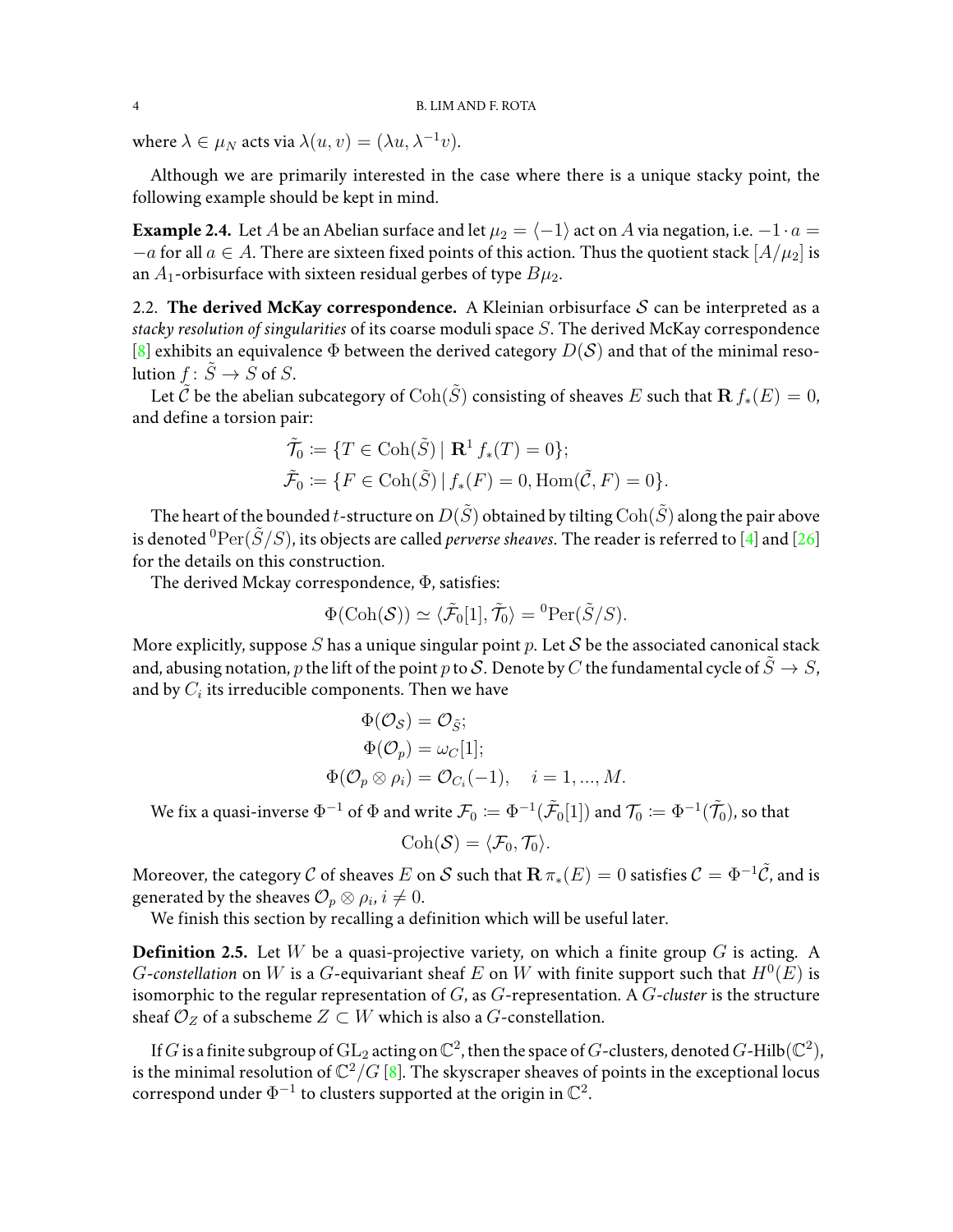where  $\lambda \in \mu_N$  acts via  $\lambda(u, v) = (\lambda u, \lambda^{-1} v)$ .

Although we are primarily interested in the case where there is a unique stacky point, the following example should be kept in mind.

**Example 2.4.** Let A be an Abelian surface and let  $\mu_2 = \langle -1 \rangle$  act on A via negation, i.e.  $-1 \cdot a =$  $-a$  for all  $a \in A$ . There are sixteen fixed points of this action. Thus the quotient stack  $[A/\mu_2]$  is an  $A_1$ -orbisurface with sixteen residual gerbes of type  $B\mu_2$ .

<span id="page-3-0"></span>2.2. **The derived McKay correspondence.** A Kleinian orbisurface  $S$  can be interpreted as a *stacky resolution of singularities* of its coarse moduli space S. The derived McKay correspondence [\[8\]](#page-20-7) exhibits an equivalence  $\Phi$  between the derived category  $D(S)$  and that of the minimal resolution  $f: \tilde{S} \to S$  of S.

Let  $\tilde{C}$  be the abelian subcategory of  $\text{Coh}(\tilde{S})$  consisting of sheaves E such that  $\mathbf{R} f_*(E) = 0$ , and define a torsion pair:

$$
\tilde{\mathcal{T}}_0 := \{ T \in \text{Coh}(\tilde{S}) \mid \mathbf{R}^1 f_*(T) = 0 \};
$$
  

$$
\tilde{\mathcal{F}}_0 := \{ F \in \text{Coh}(\tilde{S}) \mid f_*(F) = 0, \text{Hom}(\tilde{\mathcal{C}}, F) = 0 \}.
$$

The heart of the bounded t-structure on  $D(\tilde{S})$  obtained by tilting  $Coh(\tilde{S})$  along the pair above is denoted <sup>0</sup> $\text{Per}(\tilde{S}/S)$ , its objects are called *perverse sheaves*. The reader is referred to [\[4\]](#page-20-10) and [\[26\]](#page-21-7) for the details on this construction.

The derived Mckay correspondence, Φ, satisfies:

$$
\Phi(\mathrm{Coh}(\mathcal{S})) \simeq \langle \tilde{\mathcal{F}}_0[1], \tilde{\mathcal{T}}_0 \rangle = {}^0\mathrm{Per}(\tilde{S}/S).
$$

More explicitly, suppose S has a unique singular point p. Let S be the associated canonical stack and, abusing notation, p the lift of the point p to S. Denote by C the fundamental cycle of  $\tilde{S} \to S$ , and by  $C_i$  its irreducible components. Then we have

$$
\Phi(\mathcal{O}_{\mathcal{S}}) = \mathcal{O}_{\tilde{\mathcal{S}}};
$$
  
\n
$$
\Phi(\mathcal{O}_p) = \omega_C[1];
$$
  
\n
$$
\Phi(\mathcal{O}_p \otimes \rho_i) = \mathcal{O}_{C_i}(-1), \quad i = 1, ..., M.
$$

We fix a quasi-inverse  $\Phi^{-1}$  of  $\Phi$  and write  $\mathcal F_0\coloneqq\Phi^{-1}(\tilde{\mathcal F}_0[1])$  and  $\mathcal T_0\coloneqq\Phi^{-1}(\tilde{\mathcal T}_0)$ , so that

$$
\mathrm{Coh}(\mathcal{S})=\langle \mathcal{F}_0,\mathcal{T}_0\rangle.
$$

Moreover, the category C of sheaves E on S such that  $\mathbf{R} \pi_*(E) = 0$  satisfies  $C = \Phi^{-1} \tilde{C}$ , and is generated by the sheaves  $\mathcal{O}_p \otimes \rho_i, i \neq 0.$ 

We finish this section by recalling a definition which will be useful later.

<span id="page-3-1"></span>**Definition 2.5.** Let  $W$  be a quasi-projective variety, on which a finite group  $G$  is acting. A *G*-constellation on W is a *G*-equivariant sheaf E on W with finite support such that  $H^0(E)$  is isomorphic to the regular representation of G, as G-representation. A G-*cluster* is the structure sheaf  $\mathcal{O}_Z$  of a subscheme  $Z \subset W$  which is also a  $G$ -constellation.

If  $G$  is a finite subgroup of  $\mathrm{GL}_2$  acting on  $\mathbb{C}^2$ , then the space of  $G$ -clusters, denoted  $G$ -Hilb $(\mathbb{C}^2)$ , is the minimal resolution of  $\mathbb{C}^2/G$  [\[8\]](#page-20-7). The skyscraper sheaves of points in the exceptional locus correspond under  $\Phi^{-1}$  to clusters supported at the origin in  $\mathbb{C}^2$ .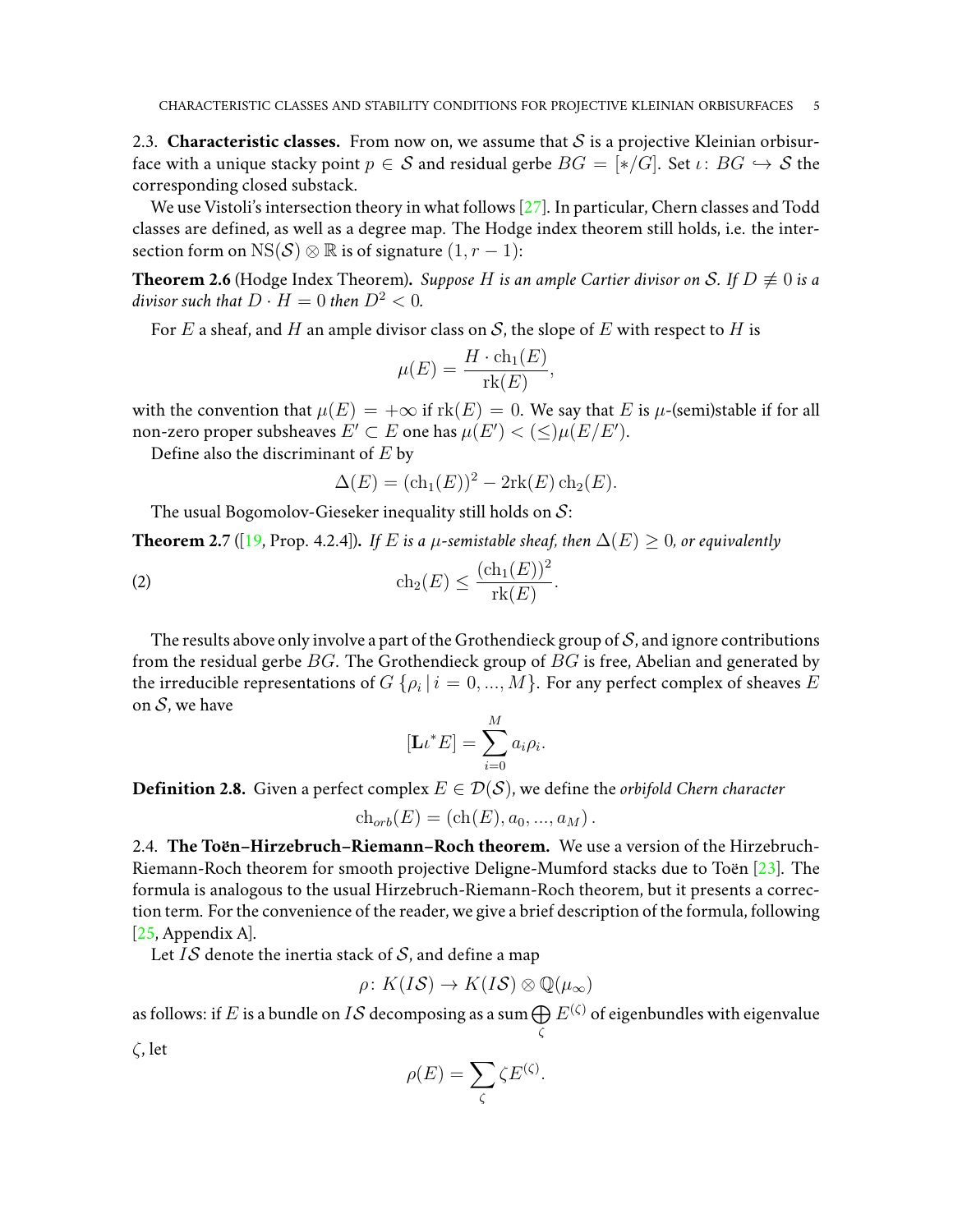<span id="page-4-2"></span>2.3. **Characteristic classes.** From now on, we assume that  $S$  is a projective Kleinian orbisurface with a unique stacky point  $p \in S$  and residual gerbe  $BG = [*/G]$ . Set  $\iota: BG \hookrightarrow S$  the corresponding closed substack.

We use Vistoli's intersection theory in what follows [\[27\]](#page-21-4). In particular, Chern classes and Todd classes are defined, as well as a degree map. The Hodge index theorem still holds, i.e. the intersection form on NS(S)  $\otimes \mathbb{R}$  is of signature  $(1, r - 1)$ :

**Theorem 2.6** (Hodge Index Theorem). *Suppose H* is an ample Cartier divisor on S. If  $D \not\equiv 0$  is a *divisor such that*  $D \cdot H = 0$  *then*  $D^2 < 0$ *.* 

For E a sheaf, and H an ample divisor class on S, the slope of E with respect to H is

$$
\mu(E) = \frac{H \cdot \text{ch}_1(E)}{\text{rk}(E)},
$$

with the convention that  $\mu(E) = +\infty$  if  $\text{rk}(E) = 0$ . We say that E is  $\mu$ -(semi)stable if for all non-zero proper subsheaves  $E'\subset E$  one has  $\mu(E')<(\leq)\mu(E/E').$ 

Define also the discriminant of  $E$  by

<span id="page-4-0"></span>
$$
\Delta(E) = (\text{ch}_1(E))^2 - 2\text{rk}(E)\,\text{ch}_2(E).
$$

The usual Bogomolov-Gieseker inequality still holds on  $S$ :

**Theorem 2.7** ([\[19,](#page-21-8) Prop. 4.2.4]). *If E* is a  $\mu$ -semistable sheaf, then  $\Delta(E) \geq 0$ , or equivalently

$$
\operatorname{ch}_2(E) \le \frac{(\operatorname{ch}_1(E))^2}{\operatorname{rk}(E)}.
$$

The results above only involve a part of the Grothendieck group of  $S$ , and ignore contributions from the residual gerbe  $BG$ . The Grothendieck group of  $BG$  is free, Abelian and generated by the irreducible representations of  $G$   $\{\rho_i\,|\,i=0,...,M\}.$  For any perfect complex of sheaves  $E$ on  $S$ , we have

$$
[\mathbf{L} \iota^* E] = \sum_{i=0}^M a_i \rho_i.
$$

<span id="page-4-1"></span>**Definition 2.8.** Given a perfect complex  $E \in \mathcal{D}(\mathcal{S})$ , we define the *orbifold Chern character* 

$$
ch_{orb}(E) = (ch(E), a_0, ..., a_M).
$$

2.4. The Toen-Hirzebruch-Riemann-Roch theorem. We use a version of the Hirzebruch-Riemann-Roch theorem for smooth projective Deligne-Mumford stacks due to Toën  $[23]$  $[23]$ . The formula is analogous to the usual Hirzebruch-Riemann-Roch theorem, but it presents a correction term. For the convenience of the reader, we give a brief description of the formula, following [\[25,](#page-21-9) Appendix A].

Let IS denote the inertia stack of S, and define a map

$$
\rho\colon K(I\mathcal{S})\to K(I\mathcal{S})\otimes\mathbb{Q}(\mu_{\infty})
$$

as follows: if  $E$  is a bundle on  $I\mathcal S$  decomposing as a sum  $\bigoplus$  $E^{(\zeta)}$  of eigenbundles with eigenvalue

ζ

ζ, let

$$
\rho(E) = \sum_{\zeta} \zeta E^{(\zeta)}.
$$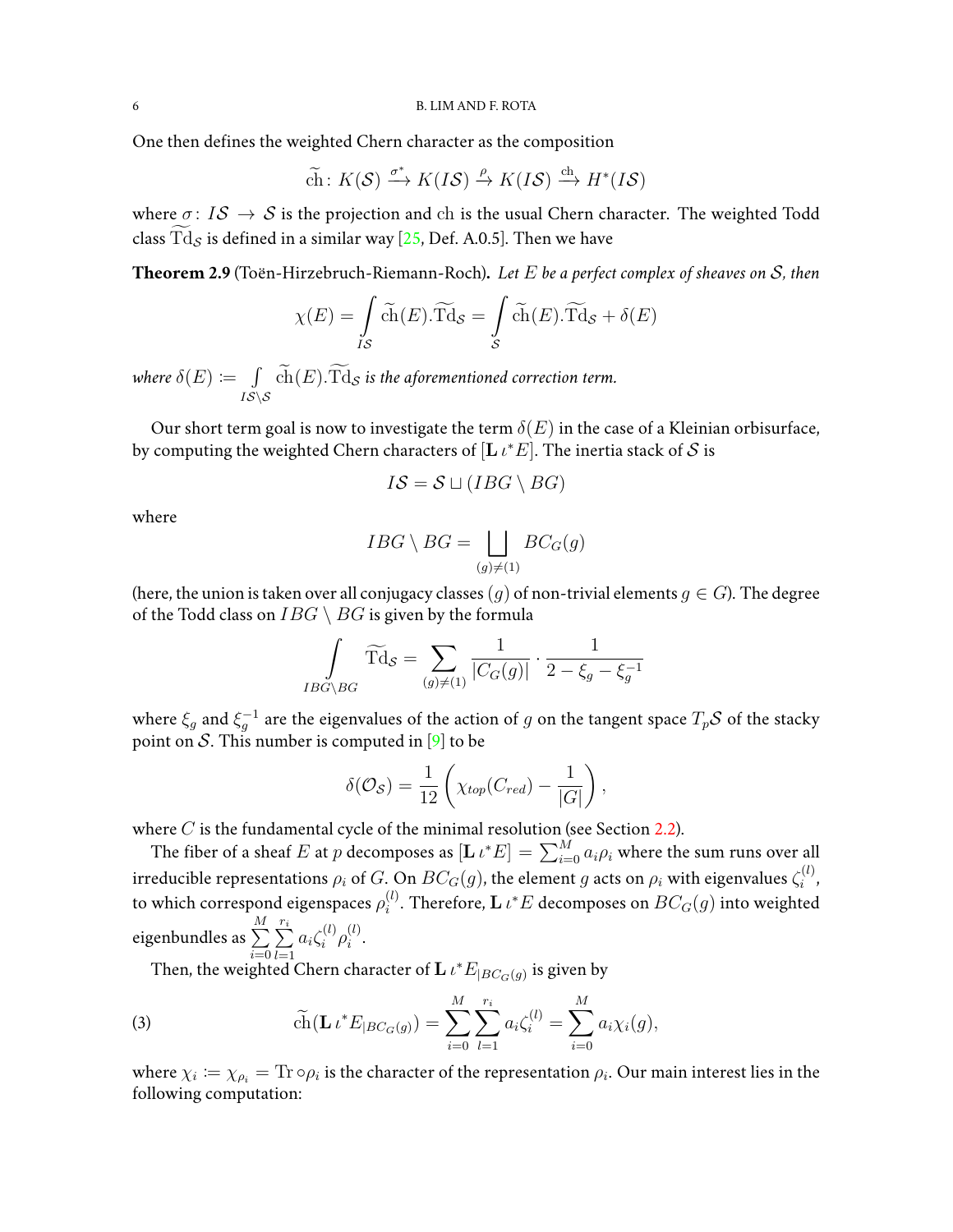One then defines the weighted Chern character as the composition

$$
\widetilde{\text{ch}}\colon K(\mathcal{S}) \xrightarrow{\sigma^*} K(I\mathcal{S}) \xrightarrow{\rho} K(I\mathcal{S}) \xrightarrow{\text{ch}} H^*(I\mathcal{S})
$$

where  $\sigma: I\mathcal{S} \to \mathcal{S}$  is the projection and ch is the usual Chern character. The weighted Todd class  $Td_S$  is defined in a similar way [\[25,](#page-21-9) Def. A.0.5]. Then we have

<span id="page-5-0"></span>**Theorem 2.9** (Toen-Hirzebruch-Riemann-Roch) ¨ **.** *Let* E *be a perfect complex of sheaves on* S*, then*

$$
\chi(E) = \int\limits_{IS} \widetilde{\text{ch}}(E) . \widetilde{\text{Td}}_{\mathcal{S}} = \int\limits_{\mathcal{S}} \widetilde{\text{ch}}(E) . \widetilde{\text{Td}}_{\mathcal{S}} + \delta(E)
$$

where  $\delta(E) \coloneqq \int$  $\int\limits_{IS\setminus \mathcal{S}} \mathrm{ch}(E). \mathrm{Td}_{\mathcal{S}}$  *is the aforementioned correction term.* 

Our short term goal is now to investigate the term  $\delta(E)$  in the case of a Kleinian orbisurface, by computing the weighted Chern characters of  $[\mathbf{L} \, \iota^* E].$  The inertia stack of  $\mathcal S$  is

$$
I\mathcal{S} = \mathcal{S} \sqcup (IBG \setminus BG)
$$

where

$$
IBG \setminus BG = \bigsqcup_{(g) \neq (1)} BC_G(g)
$$

(here, the union is taken over all conjugacy classes  $(g)$  of non-trivial elements  $g \in G$ ). The degree of the Todd class on  $IBG \setminus BG$  is given by the formula

$$
\int\limits_{IBG\setminus BG} \widetilde{\mathrm{Td}}_{\mathcal{S}} = \sum\limits_{(g)\neq (1)} \frac{1}{|C_G(g)|} \cdot \frac{1}{2 - \xi_g - \xi_g^{-1}}
$$

where  $\xi_g$  and  $\xi_g^{-1}$  are the eigenvalues of the action of  $g$  on the tangent space  $T_p\mathcal{S}$  of the stacky point on S. This number is computed in [\[9\]](#page-20-11) to be

$$
\delta(\mathcal{O}_{\mathcal{S}}) = \frac{1}{12} \left( \chi_{top}(C_{red}) - \frac{1}{|G|} \right),\,
$$

where  $C$  is the fundamental cycle of the minimal resolution (see Section [2.2\)](#page-3-0).

The fiber of a sheaf  $E$  at  $p$  decomposes as  $[\mathbf{L} \, \iota^* E] = \sum_{i=0}^M a_i \rho_i$  where the sum runs over all irreducible representations  $\rho_i$  of  $G.$  On  $BC_G(g)$ , the element  $g$  acts on  $\rho_i$  with eigenvalues  $\zeta_i^{(l)}$ i , to which correspond eigenspaces  $\rho_i^{(l)}$  $\mathcal{C}_i^{(l)}$ . Therefore,  $\mathbf{L} \, \iota^*E$  decomposes on  $BC_G(g)$  into weighted eigenbundles as  $\sum^{M}$  $i=0$  $\sum_{i=1}^{r_i}$  $a_i \zeta_i^{(l)}$  $\stackrel{(l)}{i}\rho_i^{(l)}$  $\binom{l}{i}$ .

 $_{l=1}$ Then, the weighted Chern character of  $\mathbf{L} \, t^* E_{|BC_G(g)}$  is given by

(3) 
$$
\widetilde{ch}(\mathbf{L} \, t^* E_{|BC_G(g)}) = \sum_{i=0}^M \sum_{l=1}^{r_i} a_i \zeta_i^{(l)} = \sum_{i=0}^M a_i \chi_i(g),
$$

where  $\chi_i\coloneqq\chi_{\rho_i}=\text{Tr}\circ\rho_i$  is the character of the representation  $\rho_i.$  Our main interest lies in the following computation: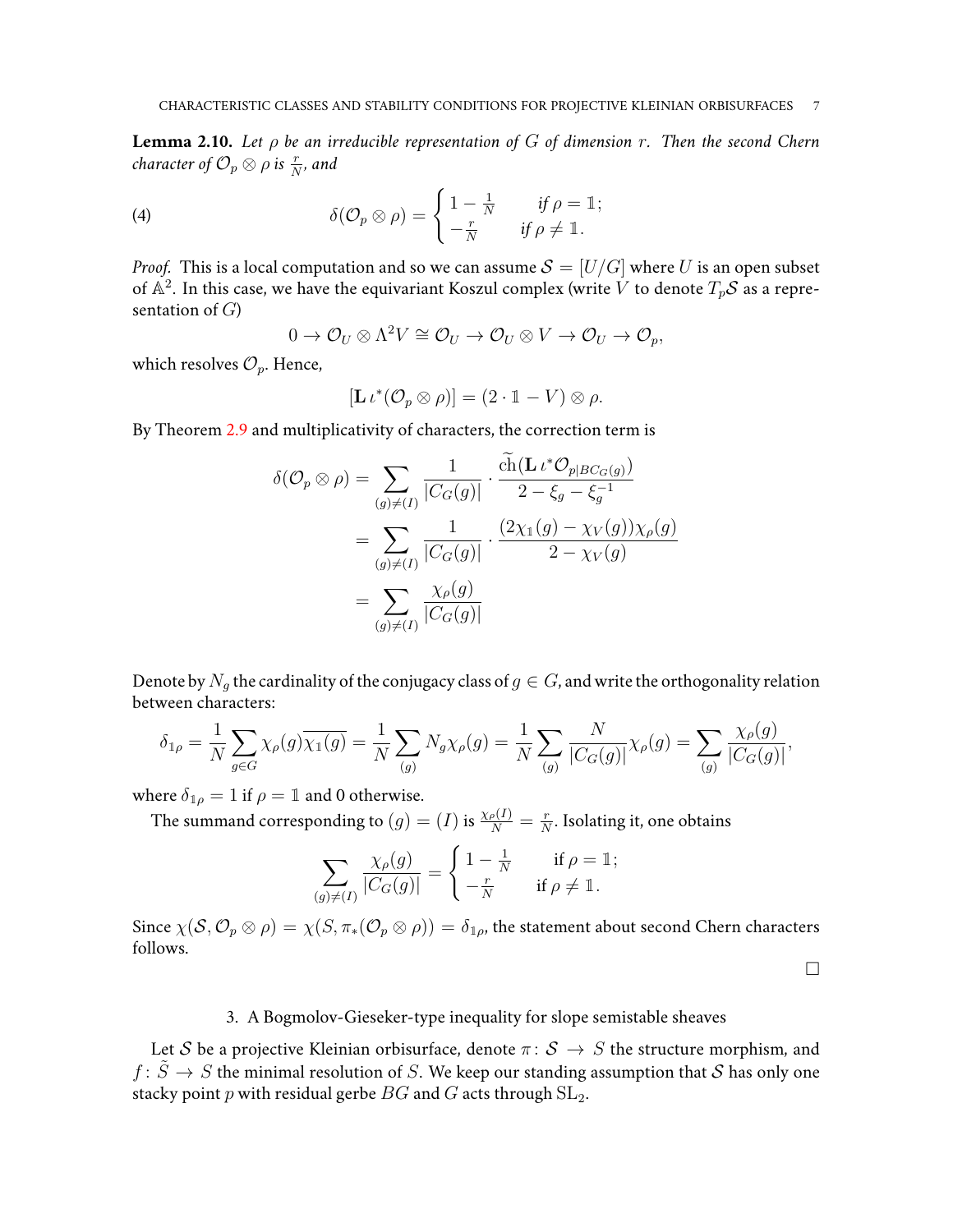<span id="page-6-0"></span>**Lemma 2.10.** *Let* ρ *be an irreducible representation of* G *of dimension* r*. Then the second Chern*  $\emph{character of $\mathcal{O}_p\otimes \rho$ is $\frac{r}{N}$, and}$ 

(4) 
$$
\delta(\mathcal{O}_p \otimes \rho) = \begin{cases} 1 - \frac{1}{N} & \text{if } \rho = \mathbb{1}; \\ -\frac{r}{N} & \text{if } \rho \neq \mathbb{1}. \end{cases}
$$

*Proof.* This is a local computation and so we can assume  $S = [U/G]$  where U is an open subset of  $\mathbb{A}^2$ . In this case, we have the equivariant Koszul complex (write  $\dot{V}$  to denote  $T_p \mathcal{S}$  as a representation of  $G$ )

$$
0 \to \mathcal{O}_U \otimes \Lambda^2 V \cong \mathcal{O}_U \to \mathcal{O}_U \otimes V \to \mathcal{O}_U \to \mathcal{O}_p,
$$

which resolves  $\mathcal{O}_p$ . Hence,

$$
[\mathbf{L} \iota^* (\mathcal{O}_p \otimes \rho)] = (2 \cdot \mathbb{1} - V) \otimes \rho.
$$

By Theorem [2.9](#page-5-0) and multiplicativity of characters, the correction term is

$$
\delta(\mathcal{O}_p \otimes \rho) = \sum_{(g) \neq (I)} \frac{1}{|C_G(g)|} \cdot \frac{\operatorname{ch}(\mathbf{L} \iota^* \mathcal{O}_{p|BC_G(g)})}{2 - \xi_g - \xi_g^{-1}}
$$

$$
= \sum_{(g) \neq (I)} \frac{1}{|C_G(g)|} \cdot \frac{(2\chi_1(g) - \chi_V(g))\chi_\rho(g)}{2 - \chi_V(g)}
$$

$$
= \sum_{(g) \neq (I)} \frac{\chi_\rho(g)}{|C_G(g)|}
$$

Denote by  $N_g$  the cardinality of the conjugacy class of  $g \in G$ , and write the orthogonality relation between characters:

$$
\delta_{1\rho} = \frac{1}{N} \sum_{g \in G} \chi_{\rho}(g) \overline{\chi_1(g)} = \frac{1}{N} \sum_{(g)} N_g \chi_{\rho}(g) = \frac{1}{N} \sum_{(g)} \frac{N}{|C_G(g)|} \chi_{\rho}(g) = \sum_{(g)} \frac{\chi_{\rho}(g)}{|C_G(g)|},
$$

where  $\delta_{\mathbb{1}\rho} = 1$  if  $\rho = \mathbb{1}$  and 0 otherwise.

The summand corresponding to  $(g)=(I)$  is  $\frac{\chi_\rho(I)}{N}=\frac{r}{N}$  $\frac{r}{N}$ . Isolating it, one obtains

$$
\sum_{(g)\neq(I)}\frac{\chi_{\rho}(g)}{|C_G(g)|}=\begin{cases}1-\frac{1}{N} & \text{if } \rho=\mathbb{1};\\ -\frac{r}{N} & \text{if } \rho\neq\mathbb{1}.\end{cases}
$$

Since  $\chi(\mathcal{S}, \mathcal{O}_p \otimes \rho) = \chi(S, \pi_*(\mathcal{O}_p \otimes \rho)) = \delta_{1\rho}$ , the statement about second Chern characters follows.

 $\Box$ 

### 3. A Bogmolov-Gieseker-type inequality for slope semistable sheaves

Let S be a projective Kleinian orbisurface, denote  $\pi: \mathcal{S} \to S$  the structure morphism, and  $f: \tilde{S} \to S$  the minimal resolution of S. We keep our standing assumption that S has only one stacky point  $p$  with residual gerbe  $BG$  and  $G$  acts through  $SL_2$ .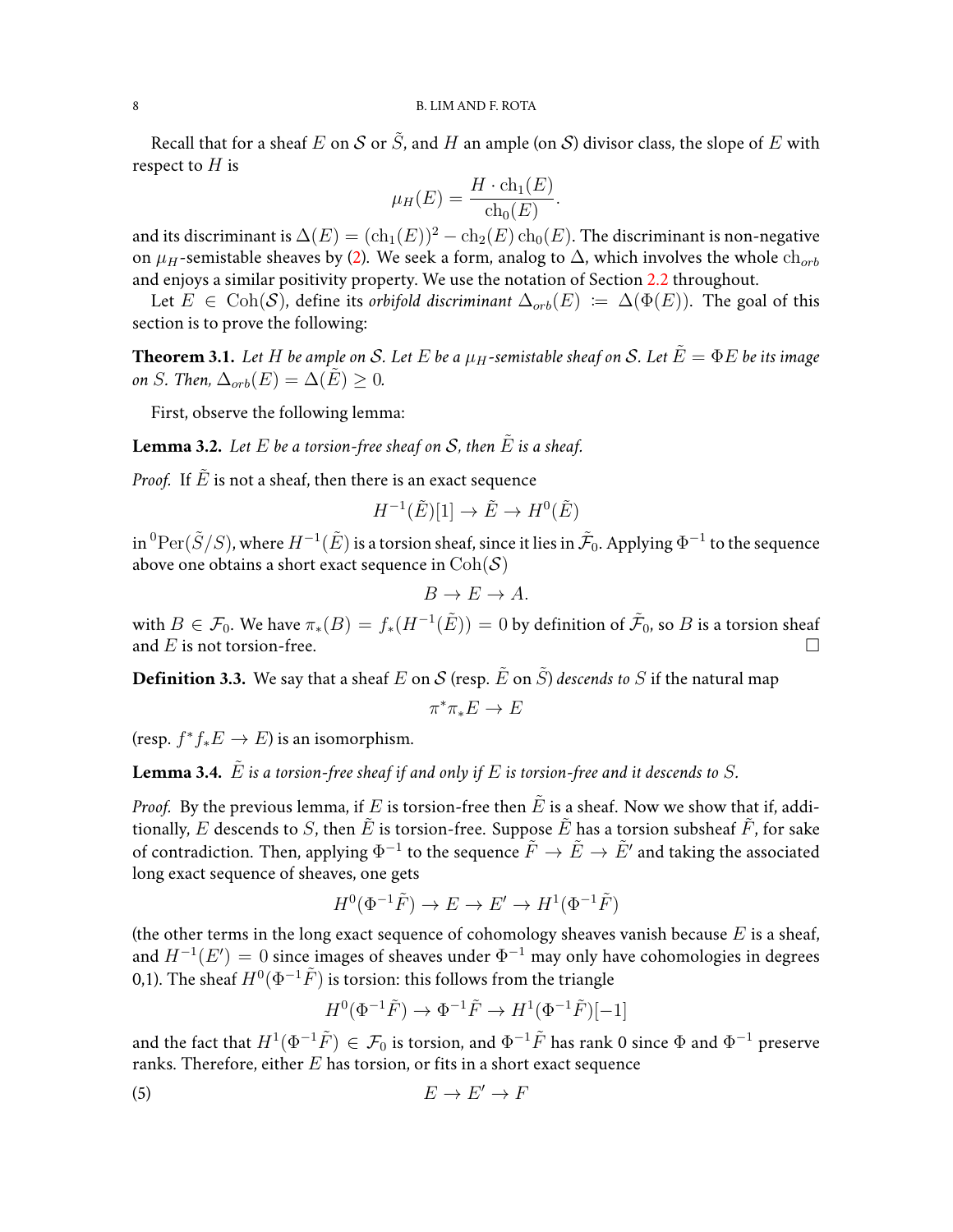Recall that for a sheaf E on S or  $\tilde{S}$ , and H an ample (on S) divisor class, the slope of E with respect to  $H$  is

$$
\mu_H(E) = \frac{H \cdot \mathrm{ch}_1(E)}{\mathrm{ch}_0(E)}.
$$

and its discriminant is  $\Delta(E) = (\text{ch}_1(E))^2 - \text{ch}_2(E) \text{ch}_0(E)$ . The discriminant is non-negative on  $\mu_H$ -semistable sheaves by [\(2\)](#page-4-0). We seek a form, analog to  $\Delta$ , which involves the whole  $\text{ch}_{orb}$ and enjoys a similar positivity property. We use the notation of Section [2.2](#page-3-0) throughout.

Let  $E \in \text{Coh}(S)$ , define its *orbifold discriminant*  $\Delta_{orb}(E) := \Delta(\Phi(E))$ . The goal of this section is to prove the following:

<span id="page-7-0"></span>**Theorem 3.1.** Let H be ample on S. Let E be a  $\mu$ H-semistable sheaf on S. Let  $\tilde{E} = \Phi E$  be its image *on S. Then,*  $\Delta_{orb}(E) = \Delta(E) > 0$ *.* 

First, observe the following lemma:

**Lemma 3.2.** Let  $E$  be a torsion-free sheaf on  $S$ , then  $\tilde{E}$  is a sheaf.

*Proof.* If  $\overline{E}$  is not a sheaf, then there is an exact sequence

$$
H^{-1}(\tilde{E})[1] \to \tilde{E} \to H^0(\tilde{E})
$$

in  $^0\mathrm{Per}(\tilde{S}/S)$ , where  $H^{-1}(\tilde{E})$  is a torsion sheaf, since it lies in  $\tilde{\mathcal{F}}_0$ . Applying  $\Phi^{-1}$  to the sequence above one obtains a short exact sequence in  $\text{Coh}(\mathcal{S})$ 

$$
B \to E \to A.
$$

with  $B\in\mathcal{F}_0.$  We have  $\pi_*(B)=f_*(H^{-1}(\tilde{E}))=0$  by definition of  $\tilde{\mathcal{F}}_0,$  so  $B$  is a torsion sheaf and E is not torsion-free.

**Definition 3.3.** We say that a sheaf E on S (resp.  $\tilde{E}$  on  $\tilde{S}$ ) *descends to* S if the natural map

$$
\pi^*\pi_*E\to E
$$

(resp.  $f^*f_*E \to E$ ) is an isomorphism.

<span id="page-7-2"></span>**Lemma 3.4.**  $\tilde{E}$  *is a torsion-free sheaf if and only if*  $E$  *is torsion-free and it descends to*  $S$ *.* 

*Proof.* By the previous lemma, if E is torsion-free then  $\tilde{E}$  is a sheaf. Now we show that if, additionally, E descends to S, then  $\tilde{E}$  is torsion-free. Suppose  $\tilde{E}$  has a torsion subsheaf  $\tilde{F}$ , for sake of contradiction. Then, applying  $\Phi^{-1}$  to the sequence  $\tilde{F} \to \tilde{E} \to \tilde{E}'$  and taking the associated long exact sequence of sheaves, one gets

$$
H^0(\Phi^{-1}\tilde{F}) \to E \to E' \to H^1(\Phi^{-1}\tilde{F})
$$

(the other terms in the long exact sequence of cohomology sheaves vanish because  $E$  is a sheaf, and  $H^{-1}(E') = 0$  since images of sheaves under  $\Phi^{-1}$  may only have cohomologies in degrees 0,1). The sheaf  $H^0(\Phi^{-1}\tilde{F})$  is torsion: this follows from the triangle

<span id="page-7-1"></span>
$$
H^0(\Phi^{-1}\tilde{F})\rightarrow \Phi^{-1}\tilde{F}\rightarrow H^1(\Phi^{-1}\tilde{F})[-1]
$$

and the fact that  $H^1(\Phi^{-1}\tilde{F})\in\mathcal{F}_0$  is torsion, and  $\Phi^{-1}\tilde{F}$  has rank 0 since  $\Phi$  and  $\Phi^{-1}$  preserve ranks. Therefore, either  $E$  has torsion, or fits in a short exact sequence

$$
(5) \t\t\t E' \to E' \to F
$$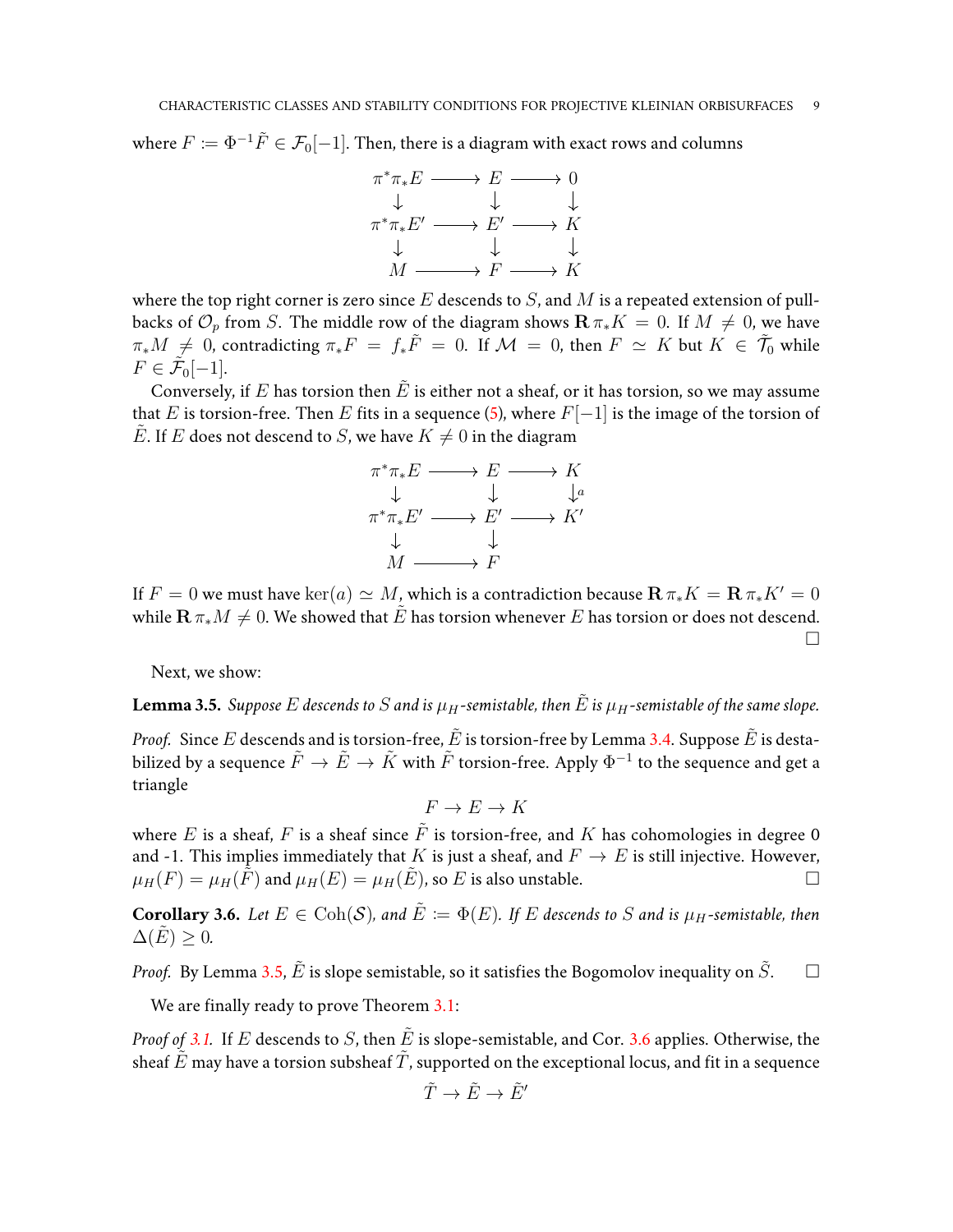where  $F \coloneqq \Phi^{-1} \tilde{F} \in \mathcal{F}_0[-1]$ . Then, there is a diagram with exact rows and columns



where the top right corner is zero since  $E$  descends to  $S$ , and  $M$  is a repeated extension of pullbacks of  $\mathcal{O}_p$  from S. The middle row of the diagram shows  $\mathbf{R} \pi_* K = 0$ . If  $M \neq 0$ , we have  $\pi_*M \neq 0$ , contradicting  $\pi_*F = f_*\tilde{F} = 0$ . If  $\mathcal{M} = 0$ , then  $F \simeq K$  but  $K \in \tilde{\mathcal{T}}_0$  while  $F \in \tilde{\mathcal{F}}_0[-1].$ 

Conversely, if E has torsion then  $\tilde{E}$  is either not a sheaf, or it has torsion, so we may assume that E is torsion-free. Then E fits in a sequence [\(5\)](#page-7-1), where  $F[-1]$  is the image of the torsion of  $\tilde{E}$ . If E does not descend to S, we have  $K \neq 0$  in the diagram



If  $F = 0$  we must have  $\ker(a) \simeq M$ , which is a contradiction because  $\mathbf{R} \pi_* K = \mathbf{R} \pi_* K' = 0$ while  $\mathbf{R} \pi_* M \neq 0$ . We showed that  $\tilde{E}$  has torsion whenever E has torsion or does not descend.  $\Box$ 

Next, we show:

<span id="page-8-0"></span>**Lemma 3.5.** *Suppose* E descends to S and is  $\mu_H$ -semistable, then  $\tilde{E}$  is  $\mu_H$ -semistable of the same slope.

*Proof.* Since E descends and is torsion-free,  $\tilde{E}$  is torsion-free by Lemma [3.4.](#page-7-2) Suppose  $\tilde{E}$  is destabilized by a sequence  $\tilde{F} \to \tilde{E} \to \tilde{K}$  with  $\tilde{F}$  torsion-free. Apply  $\Phi^{-1}$  to the sequence and get a triangle

 $F \to E \to K$ 

where E is a sheaf, F is a sheaf since  $\tilde{F}$  is torsion-free, and K has cohomologies in degree 0 and -1. This implies immediately that K is just a sheaf, and  $F \to E$  is still injective. However,  $\mu_H(F) = \mu_H(F)$  and  $\mu_H(E) = \mu_H(E)$ , so E is also unstable.

<span id="page-8-1"></span>**Corollary 3.6.** *Let*  $E \in \text{Coh}(\mathcal{S})$ *, and*  $\tilde{E} := \Phi(E)$ *. If* E descends to S and is  $\mu_H$ -semistable, then  $\Delta(E) > 0$ .

*Proof.* By Lemma [3.5,](#page-8-0)  $\tilde{E}$  is slope semistable, so it satisfies the Bogomolov inequality on  $\tilde{S}$ .  $\square$ 

We are finally ready to prove Theorem [3.1:](#page-7-0)

*Proof of* [3.1.](#page-7-0) If E descends to S, then  $\hat{E}$  is slope-semistable, and Cor. [3.6](#page-8-1) applies. Otherwise, the sheaf  $\tilde{E}$  may have a torsion subsheaf  $\tilde{T}$ , supported on the exceptional locus, and fit in a sequence

$$
\tilde{T}\to \tilde{E}\to \tilde{E}'
$$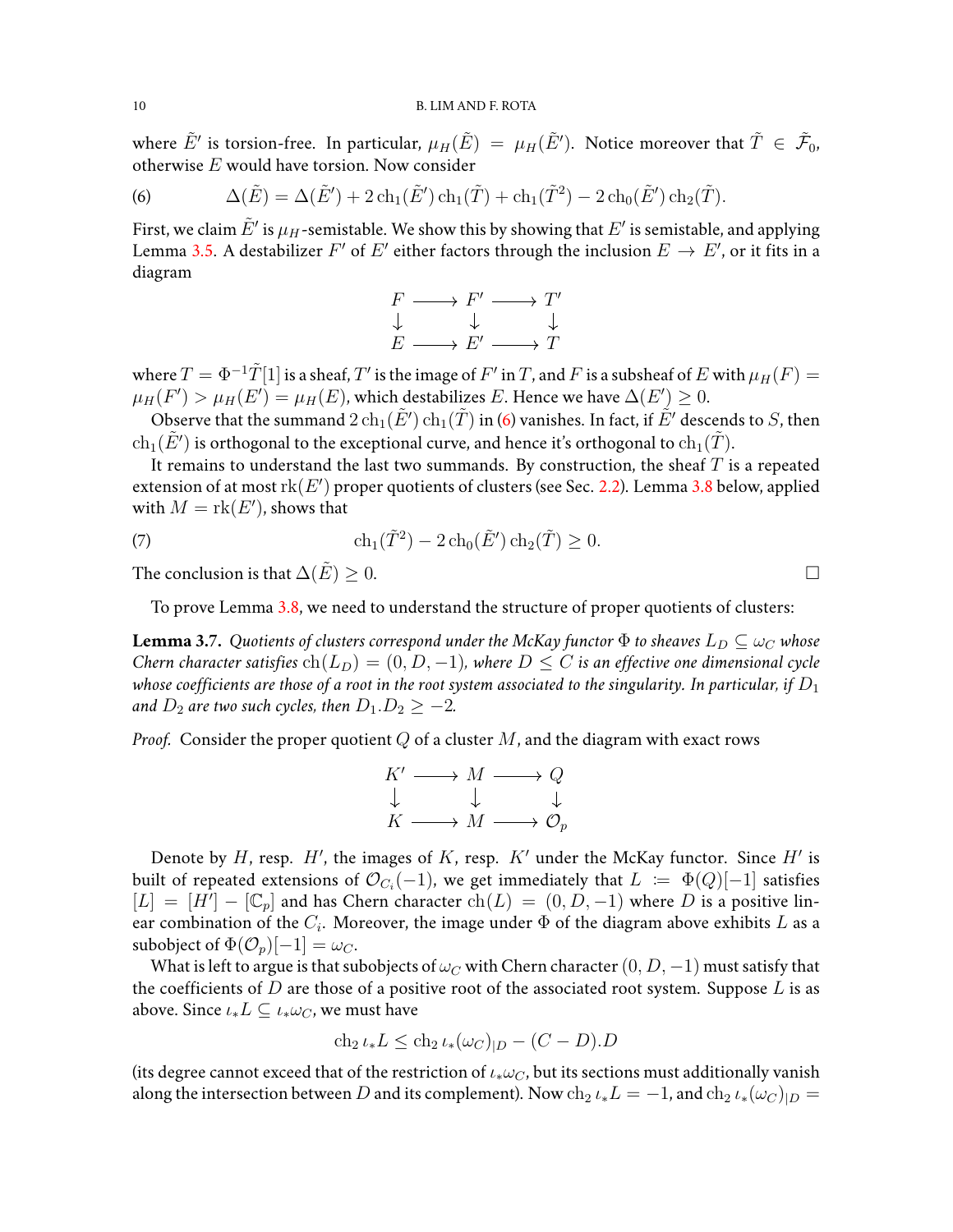where  $\tilde E'$  is torsion-free. In particular,  $\mu_H(\tilde E)\ =\ \mu_H(\tilde E').$  Notice moreover that  $\tilde T\ \in\ \tilde{\mathcal F}_0$ , otherwise  $E$  would have torsion. Now consider

<span id="page-9-0"></span>(6) 
$$
\Delta(\tilde{E}) = \Delta(\tilde{E}') + 2 \operatorname{ch}_1(\tilde{E}') \operatorname{ch}_1(\tilde{T}) + \operatorname{ch}_1(\tilde{T}^2) - 2 \operatorname{ch}_0(\tilde{E}') \operatorname{ch}_2(\tilde{T}).
$$

First, we claim  $\tilde{E}'$  is  $\mu_H$ -semistable. We show this by showing that  $E'$  is semistable, and applying Lemma [3.5.](#page-8-0) A destabilizer  $F'$  of  $E'$  either factors through the inclusion  $E \to E'$ , or it fits in a diagram

$$
\begin{array}{ccc}\nF & \longrightarrow & F' & \longrightarrow & T' \\
\downarrow & & \downarrow & & \downarrow \\
E & \longrightarrow & E' & \longrightarrow & T\n\end{array}
$$

where  $T=\Phi^{-1}\tilde{T}[1]$  is a sheaf,  $T'$  is the image of  $F'$  in  $T$ , and  $F$  is a subsheaf of  $E$  with  $\mu_H(F)=$  $\mu_H(F') > \mu_H(E') = \mu_H(E)$ , which destabilizes  $E.$  Hence we have  $\Delta(E') \geq 0.$ 

Observe that the summand  $2\ch_1(\tilde E')\ch_1(\tilde T)$  in [\(6\)](#page-9-0) vanishes. In fact, if  $\tilde E'$  descends to  $S$ , then  $\ch_1(\tilde{E}')$  is orthogonal to the exceptional curve, and hence it's orthogonal to  $\ch_1(\tilde{T})$ .

It remains to understand the last two summands. By construction, the sheaf  $T$  is a repeated extension of at most  $rk(E')$  proper quotients of clusters (see Sec. [2.2\)](#page-3-0). Lemma [3.8](#page-10-0) below, applied with  $M = \text{rk}(E')$ , shows that

(7) 
$$
\operatorname{ch}_1(\tilde{T}^2) - 2 \operatorname{ch}_0(\tilde{E}') \operatorname{ch}_2(\tilde{T}) \ge 0.
$$

The conclusion is that  $\Delta(\tilde{E}) > 0$ .

To prove Lemma [3.8,](#page-10-0) we need to understand the structure of proper quotients of clusters:

<span id="page-9-1"></span>**Lemma 3.7.** *Quotients of clusters correspond under the McKay functor*  $\Phi$  *to sheaves*  $L_D \subseteq \omega_C$  *whose Chern character satisfies*  $ch(L_D) = (0, D, -1)$ *, where*  $D \leq C$  *is an effective one dimensional cycle* whose coefficients are those of a root in the root system associated to the singularity. In particular, if  $D_1$ *and*  $D_2$  *are two such cycles, then*  $D_1.D_2 \geq -2$ *.* 

*Proof.* Consider the proper quotient  $Q$  of a cluster  $M$ , and the diagram with exact rows

$$
\begin{array}{ccc}\nK' & \longrightarrow & M & \longrightarrow & Q \\
\downarrow & & \downarrow & & \downarrow \\
K & \longrightarrow & M & \longrightarrow & \mathcal{O}_p\n\end{array}
$$

Denote by H, resp. H', the images of K, resp.  $K'$  under the McKay functor. Since H' is built of repeated extensions of  $\mathcal{O}_{C_i}(-1)$ , we get immediately that  $L \; \coloneqq \; \Phi(Q)[-1]$  satisfies  $[L] = [H^{\prime}] - [\mathbb{C}_p]$  and has Chern character  $\text{ch}(L) = (0, D, -1)$  where D is a positive linear combination of the  $C_i$ . Moreover, the image under  $\Phi$  of the diagram above exhibits  $L$  as a subobject of  $\Phi(\mathcal{O}_p)[-1] = \omega_C$ .

What is left to argue is that subobjects of  $\omega_C$  with Chern character  $(0, D, -1)$  must satisfy that the coefficients of  $D$  are those of a positive root of the associated root system. Suppose  $L$  is as above. Since  $\iota_* L \subseteq \iota_* \omega_C$ , we must have

$$
\operatorname{ch}_2 \iota_* L \le \operatorname{ch}_2 \iota_* (\omega_C)_{|D} - (C - D).D
$$

(its degree cannot exceed that of the restriction of  $\iota_* \omega_C$ , but its sections must additionally vanish along the intersection between  $D$  and its complement). Now  $\ch_2\iota_*L = -1$ , and  $\ch_2\iota_*(\omega_C)_{|D} = 0$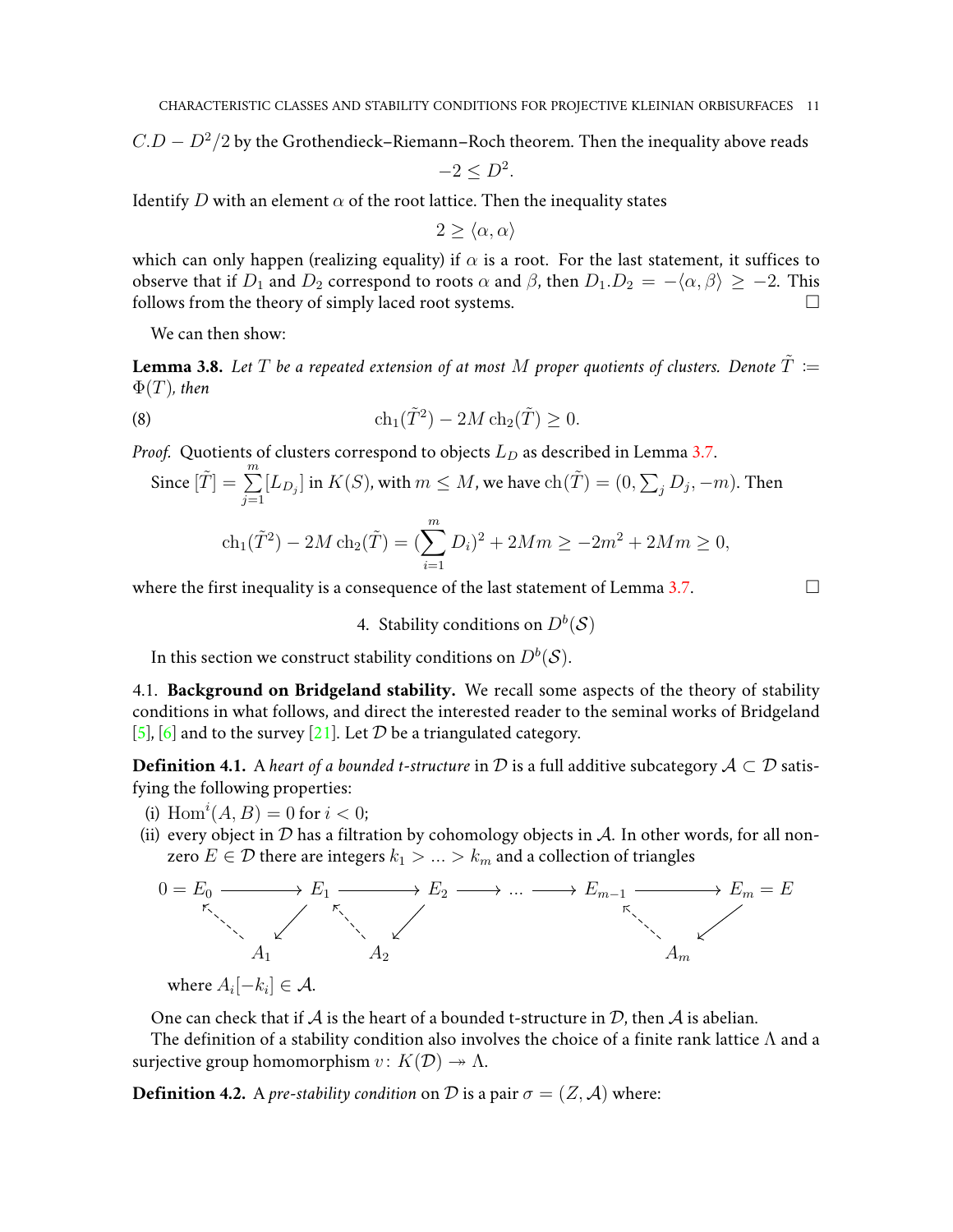$C.D-D^2/2$  by the Grothendieck–Riemann–Roch theorem. Then the inequality above reads

 $-2 \le D^2$ .

Identify D with an element  $\alpha$  of the root lattice. Then the inequality states

 $2 > \langle \alpha, \alpha \rangle$ 

which can only happen (realizing equality) if  $\alpha$  is a root. For the last statement, it suffices to observe that if  $D_1$  and  $D_2$  correspond to roots  $\alpha$  and  $\beta$ , then  $D_1.D_2 = -\langle \alpha, \beta \rangle \ge -2$ . This follows from the theory of simply laced root systems.  $\Box$ 

We can then show:

<span id="page-10-0"></span>**Lemma 3.8.** Let T be a repeated extension of at most M proper quotients of clusters. Denote  $\tilde{T}$  :=  $\Phi(T)$ *, then* 

(8) 
$$
\operatorname{ch}_1(\tilde{T}^2) - 2M \operatorname{ch}_2(\tilde{T}) \geq 0.
$$

*Proof.* Quotients of clusters correspond to objects  $L_D$  as described in Lemma [3.7.](#page-9-1)

Since 
$$
[\tilde{T}] = \sum_{j=1}^{m} [L_{D_j}]
$$
 in  $K(S)$ , with  $m \leq M$ , we have  $ch(\tilde{T}) = (0, \sum_j D_j, -m)$ . Then

$$
ch_1(\tilde{T}^2) - 2M ch_2(\tilde{T}) = (\sum_{i=1}^m D_i)^2 + 2Mm \ge -2m^2 + 2Mm \ge 0,
$$

where the first inequality is a consequence of the last statement of Lemma [3.7.](#page-9-1)  $\Box$ 

4. Stability conditions on  $D^b(\mathcal{S})$ 

In this section we construct stability conditions on  $D^b(\mathcal{S}).$ 

4.1. **Background on Bridgeland stability.** We recall some aspects of the theory of stability conditions in what follows, and direct the interested reader to the seminal works of Bridgeland [\[5\]](#page-20-0), [\[6\]](#page-20-2) and to the survey [\[21\]](#page-21-1). Let D be a triangulated category.

**Definition 4.1.** A *heart of a bounded t-structure* in  $D$  is a full additive subcategory  $A \subset D$  satisfying the following properties:

- (i)  $Hom<sup>i</sup>(A, B) = 0$  for  $i < 0$ ;
- (ii) every object in  $D$  has a filtration by cohomology objects in  $A$ . In other words, for all nonzero  $E\in\mathcal{D}$  there are integers  $k_1>\ldots>k_m$  and a collection of triangles



where  $A_i[-k_i] \in \mathcal{A}$ .

One can check that if  $A$  is the heart of a bounded t-structure in  $D$ , then  $A$  is abelian.

The definition of a stability condition also involves the choice of a finite rank lattice  $\Lambda$  and a surjective group homomorphism  $v: K(\mathcal{D}) \to \Lambda$ .

<span id="page-10-1"></span>**Definition 4.2.** A *pre-stability condition* on D is a pair  $\sigma = (Z, \mathcal{A})$  where: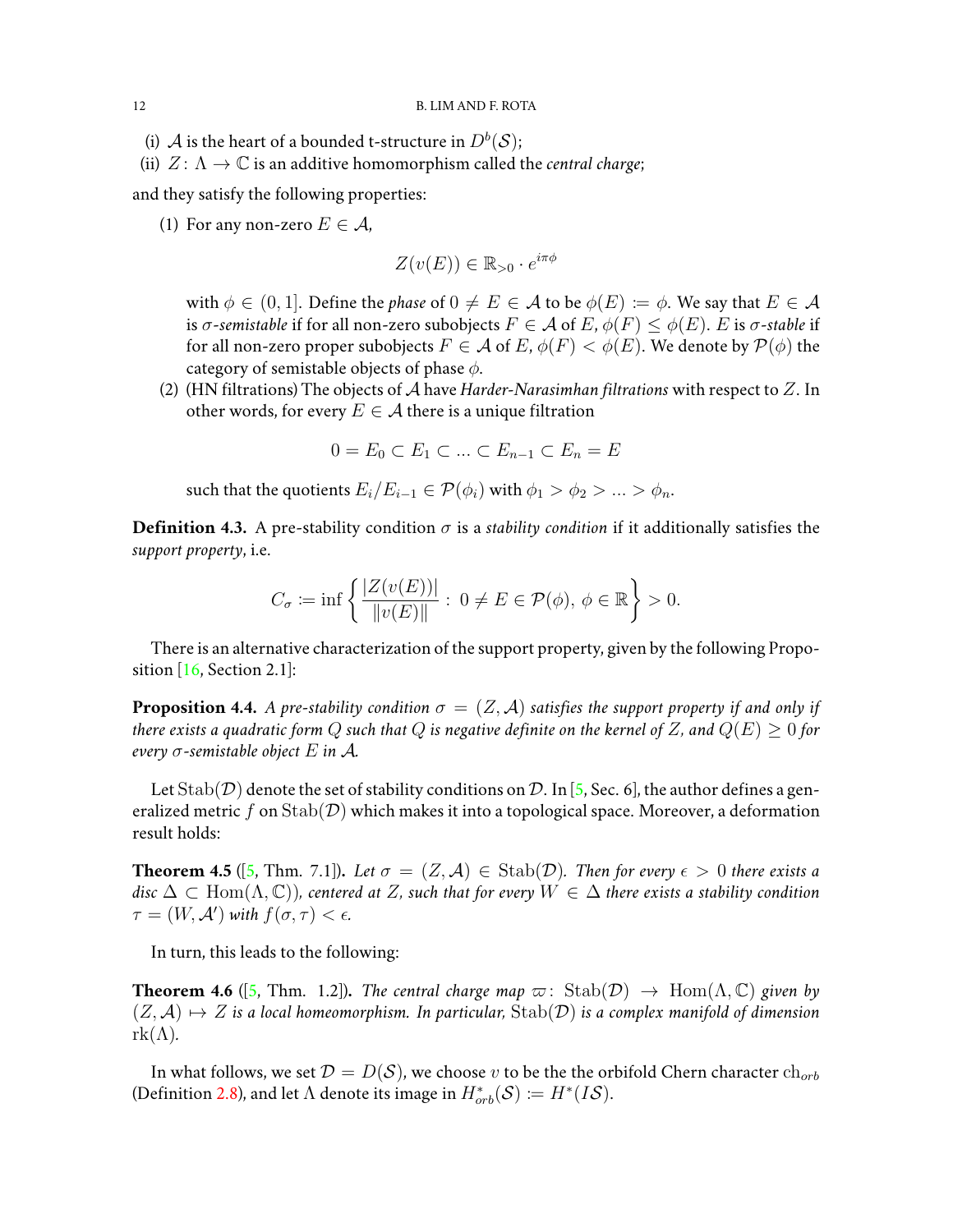- (i)  ${\mathcal{A}}$  is the heart of a bounded t-structure in  $D^b({\mathcal{S}});$
- (ii)  $Z: \Lambda \to \mathbb{C}$  is an additive homomorphism called the *central charge*;

and they satisfy the following properties:

(1) For any non-zero  $E \in \mathcal{A}$ ,

$$
Z(v(E)) \in \mathbb{R}_{>0} \cdot e^{i\pi\phi}
$$

with  $\phi \in (0, 1]$ . Define the *phase* of  $0 \neq E \in \mathcal{A}$  to be  $\phi(E) := \phi$ . We say that  $E \in \mathcal{A}$ is  $\sigma$ -semistable if for all non-zero subobjects  $F \in \mathcal{A}$  of  $E, \phi(F) \leq \phi(E)$ . E is  $\sigma$ -stable if for all non-zero proper subobjects  $F \in \mathcal{A}$  of  $E, \phi(F) < \phi(E)$ . We denote by  $\mathcal{P}(\phi)$  the category of semistable objects of phase  $\phi$ .

(2) (HN filtrations) The objects of A have *Harder-Narasimhan filtrations* with respect to Z. In other words, for every  $E \in \mathcal{A}$  there is a unique filtration

$$
0 = E_0 \subset E_1 \subset \dots \subset E_{n-1} \subset E_n = E
$$

such that the quotients  $E_i/E_{i-1} \in \mathcal{P}(\phi_i)$  with  $\phi_1 > \phi_2 > ... > \phi_n$ .

**Definition 4.3.** A pre-stability condition  $\sigma$  is a *stability condition* if it additionally satisfies the *support property*, i.e.

$$
C_{\sigma} := \inf \left\{ \frac{|Z(v(E))|}{\|v(E)\|} : 0 \neq E \in \mathcal{P}(\phi), \ \phi \in \mathbb{R} \right\} > 0.
$$

There is an alternative characterization of the support property, given by the following Propo-sition [\[16,](#page-20-12) Section 2.1]:

**Proposition 4.4.** *A pre-stability condition*  $\sigma = (Z, \mathcal{A})$  *satisfies the support property if and only if there exists a quadratic form* Q *such that* Q *is negative definite on the kernel of* Z, and  $Q(E) > 0$  *for every* σ*-semistable object* E *in* A*.*

Let  $\text{Stab}(\mathcal{D})$  denote the set of stability conditions on  $\mathcal{D}$ . In [\[5,](#page-20-0) Sec. 6], the author defines a generalized metric f on  $\text{Stab}(\mathcal{D})$  which makes it into a topological space. Moreover, a deformation result holds:

<span id="page-11-0"></span>**Theorem 4.5** ([\[5,](#page-20-0) Thm. 7.1]). Let  $\sigma = (Z, \mathcal{A}) \in \text{Stab}(\mathcal{D})$ . Then for every  $\epsilon > 0$  there exists a disc  $\Delta$  ⊂ Hom( $\Lambda$ , ℂ)), centered at Z, such that for every  $W \in \Delta$  there exists a stability condition  $\tau = (W, \mathcal{A}')$  with  $f(\sigma, \tau) < \epsilon$ .

In turn, this leads to the following:

**Theorem 4.6** ([\[5,](#page-20-0) Thm. 1.2]). *The central charge map*  $\varpi$ : Stab( $\mathcal{D}$ )  $\rightarrow$  Hom( $\Lambda$ ,  $\mathbb{C}$ ) *given by*  $(Z, \mathcal{A}) \mapsto Z$  *is a local homeomorphism. In particular,* Stab(D) *is a complex manifold of dimension*  $rk(\Lambda)$ .

In what follows, we set  $\mathcal{D} = D(\mathcal{S})$ , we choose v to be the the orbifold Chern character  $ch_{orb}$ (Definition [2.8\)](#page-4-1), and let  $\Lambda$  denote its image in  $H^*_{orb}(\mathcal{S}) \coloneqq H^*(I\mathcal{S})$ .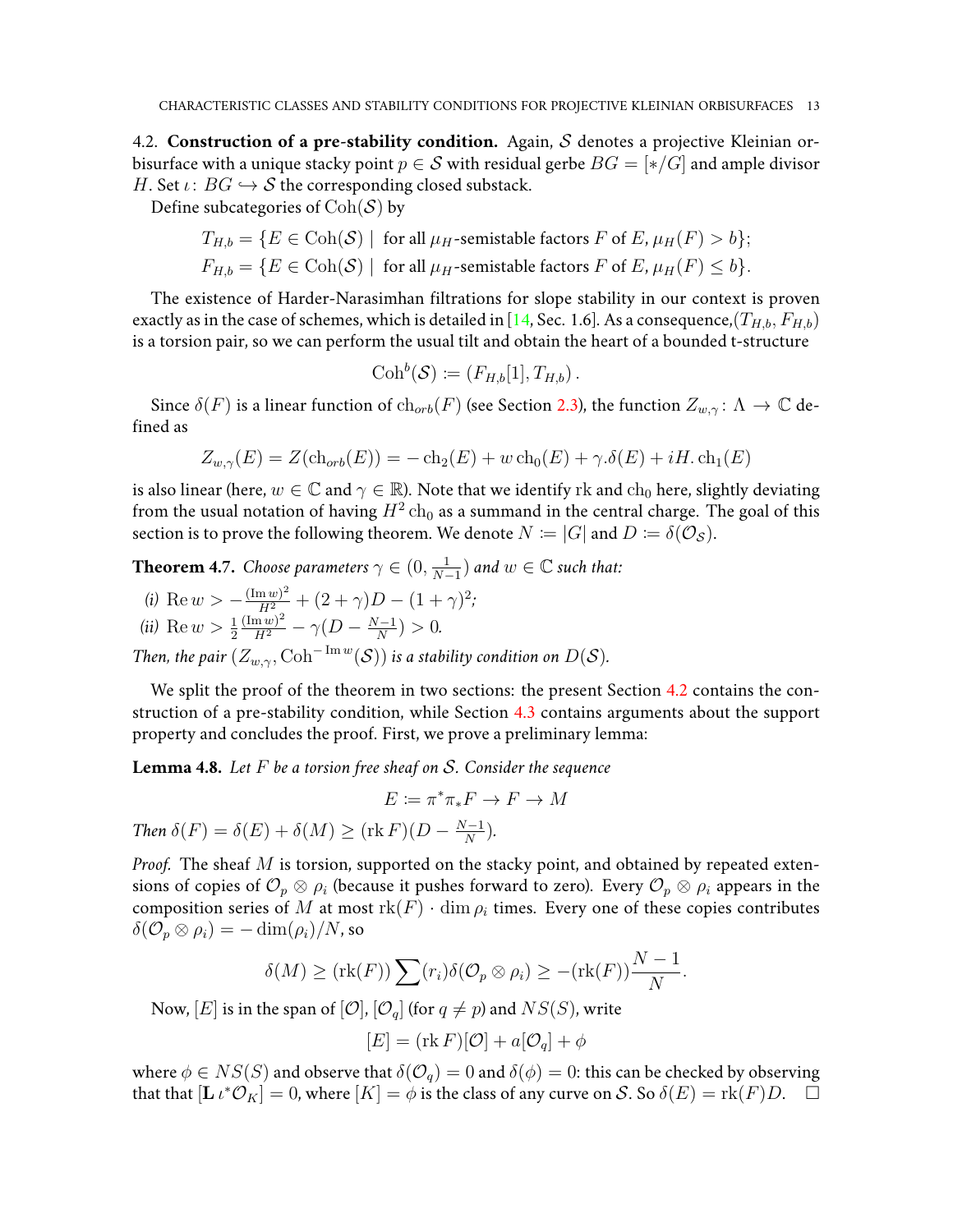<span id="page-12-1"></span>4.2. **Construction of a pre-stability condition.** Again, S denotes a projective Kleinian orbisurface with a unique stacky point  $p \in S$  with residual gerbe  $BG = [*/G]$  and ample divisor H. Set  $\iota: BG \hookrightarrow S$  the corresponding closed substack.

Define subcategories of  $\text{Coh}(\mathcal{S})$  by

$$
T_{H,b} = \{ E \in \text{Coh}(\mathcal{S}) \mid \text{ for all } \mu_H\text{-semistable factors } F \text{ of } E, \mu_H(F) > b \};
$$
  

$$
F_{H,b} = \{ E \in \text{Coh}(\mathcal{S}) \mid \text{ for all } \mu_H\text{-semistable factors } F \text{ of } E, \mu_H(F) \le b \}.
$$

The existence of Harder-Narasimhan filtrations for slope stability in our context is proven exactly as in the case of schemes, which is detailed in [\[14,](#page-20-13) Sec. 1.6]. As a consequence,  $(T_{H,b}, F_{H,b})$ is a torsion pair, so we can perform the usual tilt and obtain the heart of a bounded t-structure

$$
\mathrm{Coh}^b(\mathcal{S}) \coloneqq (F_{H,b}[1], T_{H,b}).
$$

Since  $\delta(F)$  is a linear function of  $\ch_{orb}(F)$  (see Section [2.3\)](#page-4-2), the function  $Z_{w,\gamma}$ :  $\Lambda \to \mathbb{C}$  defined as

$$
Z_{w,\gamma}(E) = Z(\text{ch}_{orb}(E)) = -\text{ch}_2(E) + w \text{ch}_0(E) + \gamma \delta(E) + iH \cdot \text{ch}_1(E)
$$

is also linear (here,  $w \in \mathbb{C}$  and  $\gamma \in \mathbb{R}$ ). Note that we identify rk and  $ch_0$  here, slightly deviating from the usual notation of having  $H^2\ch_0$  as a summand in the central charge. The goal of this section is to prove the following theorem. We denote  $N := |G|$  and  $D := \delta(\mathcal{O}_S)$ .

<span id="page-12-0"></span>**Theorem 4.7.** *Choose parameters*  $\gamma \in (0, \frac{1}{N-1})$  $\frac{1}{N-1}$ ) and  $w \in \mathbb{C}$  such that:

*(i)* Re  $w > -\frac{(\text{Im } w)^2}{H^2} + (2+\gamma)D - (1+\gamma)^2;$ 

(ii) Re 
$$
w > \frac{1}{2} \frac{(\text{Im } w)^2}{H^2} - \gamma (D - \frac{N-1}{N}) > 0.
$$

*Then, the pair*  $(Z_{w,\gamma}, \mathrm{Coh}^{-\mathrm{Im}\,w}(\mathcal{S}))$  *is a stability condition on*  $D(\mathcal{S})$ *.* 

We split the proof of the theorem in two sections: the present Section [4.2](#page-12-1) contains the construction of a pre-stability condition, while Section [4.3](#page-14-1) contains arguments about the support property and concludes the proof. First, we prove a preliminary lemma:

<span id="page-12-2"></span>**Lemma 4.8.** *Let* F *be a torsion free sheaf on* S*. Consider the sequence*

$$
E \coloneqq \pi^* \pi_* F \to F \to M
$$

*Then*  $\delta(F) = \delta(E) + \delta(M) \geq (\text{rk } F)(D - \frac{N-1}{N})$  $\frac{(-1)}{N}$ ).

*Proof.* The sheaf M is torsion, supported on the stacky point, and obtained by repeated extensions of copies of  $\mathcal{O}_p\otimes\rho_i$  (because it pushes forward to zero). Every  $\mathcal{O}_p\otimes\rho_i$  appears in the composition series of M at most  $rk(F) \cdot \dim \rho_i$  times. Every one of these copies contributes  $\delta(\mathcal{O}_p \otimes \rho_i) = -\dim(\rho_i)/N$ , so

$$
\delta(M) \geq (rk(F)) \sum (r_i) \delta(\mathcal{O}_p \otimes \rho_i) \geq -(rk(F)) \frac{N-1}{N}.
$$

Now,  $[E]$  is in the span of  $[O], [O_q]$  (for  $q \neq p$ ) and  $NS(S)$ , write

$$
[E] = (\text{rk } F)[\mathcal{O}] + a[\mathcal{O}_q] + \phi
$$

where  $\phi \in NS(S)$  and observe that  $\delta(\mathcal{O}_q) = 0$  and  $\delta(\phi) = 0$ : this can be checked by observing that that  $[\mathbf{L} \iota^* \mathcal{O}_K] = 0$ , where  $[K] = \phi$  is the class of any curve on S. So  $\delta(E) = \text{rk}(F)D$ .  $\Box$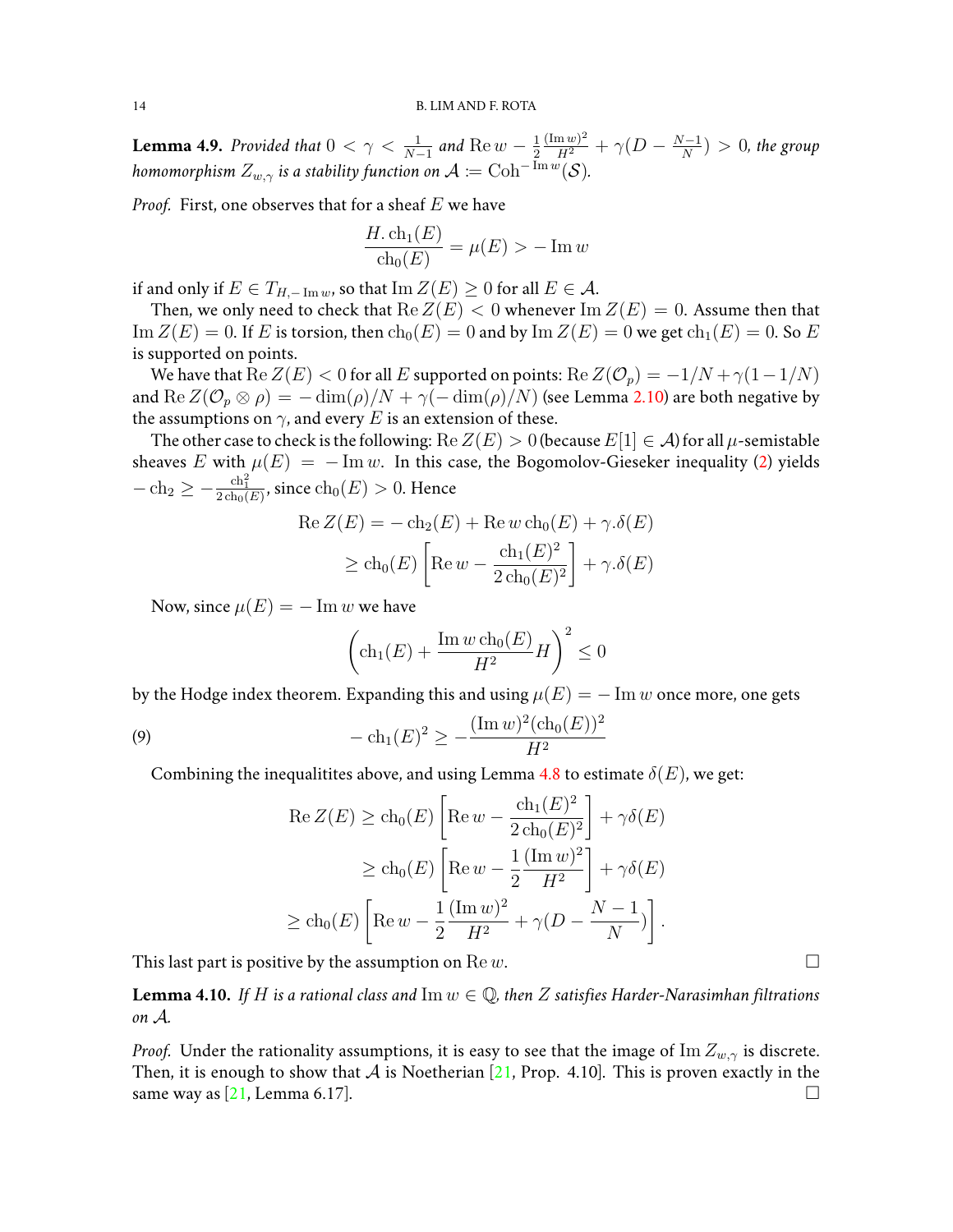<span id="page-13-0"></span>**Lemma 4.9.** Provided that  $0 < \gamma < \frac{1}{N-1}$  and  $\text{Re } w - \frac{1}{2}$ 2  $\frac{(\text{Im } w)^2}{H^2} + \gamma (D - \frac{N-1}{N})$  $\frac{(-1)}{N}$   $> 0$ , the group homomorphism  $Z_{w,\gamma}$  is a stability function on  $\mathcal{A} \coloneqq \mathrm{Coh}^{-\mathrm{Im}\,w}(\mathcal{S}).$ 

*Proof.* First, one observes that for a sheaf E we have

$$
\frac{H.\operatorname{ch}_1(E)}{\operatorname{ch}_0(E)} = \mu(E) > -\operatorname{Im} w
$$

if and only if  $E \in T_{H, -\text{Im }w}$ , so that  $\text{Im }Z(E) \geq 0$  for all  $E \in \mathcal{A}$ .

Then, we only need to check that  $\text{Re } Z(E) < 0$  whenever  $\text{Im } Z(E) = 0$ . Assume then that  $\text{Im }Z(E) = 0$ . If E is torsion, then  $\text{ch}_0(E) = 0$  and by  $\text{Im }Z(E) = 0$  we get  $\text{ch}_1(E) = 0$ . So E is supported on points.

We have that  $\text{Re } Z(E) < 0$  for all E supported on points:  $\text{Re } Z(\mathcal{O}_p) = -1/N + \gamma(1-1/N)$ and Re  $Z(\mathcal{O}_p \otimes \rho) = -\dim(\rho)/N + \gamma(-\dim(\rho)/N)$  (see Lemma [2.10\)](#page-6-0) are both negative by the assumptions on  $\gamma$ , and every E is an extension of these.

The other case to check is the following:  $\text{Re } Z(E) > 0$  (because  $E[1] \in \mathcal{A}$ ) for all  $\mu$ -semistable sheaves E with  $\mu(E) = -\text{Im } w$ . In this case, the Bogomolov-Gieseker inequality [\(2\)](#page-4-0) yields  $-\ch_2\geq -\frac{\ch_1^2}{2\ch_0(E)},$  since  $\ch_0(E)>0.$  Hence

Re 
$$
Z(E) = -\text{ch}_2(E) + \text{Re} w \text{ ch}_0(E) + \gamma \cdot \delta(E)
$$
  
\n $\geq \text{ch}_0(E) \left[ \text{Re} w - \frac{\text{ch}_1(E)^2}{2 \text{ch}_0(E)^2} \right] + \gamma \cdot \delta(E)$ 

Now, since  $\mu(E) = -\text{Im } w$  we have

<span id="page-13-2"></span>
$$
\left(\operatorname{ch}_{1}(E) + \frac{\operatorname{Im} w \operatorname{ch}_{0}(E)}{H^{2}} H\right)^{2} \leq 0
$$

by the Hodge index theorem. Expanding this and using  $\mu(E) = -\text{Im } w$  once more, one gets

(9) 
$$
-\operatorname{ch}_{1}(E)^{2} \geq -\frac{(\operatorname{Im} w)^{2}(\operatorname{ch}_{0}(E))^{2}}{H^{2}}
$$

Combining the inequalitites above, and using Lemma [4.8](#page-12-2) to estimate  $\delta(E)$ , we get:

$$
\operatorname{Re} Z(E) \ge \operatorname{ch}_0(E) \left[ \operatorname{Re} w - \frac{\operatorname{ch}_1(E)^2}{2 \operatorname{ch}_0(E)^2} \right] + \gamma \delta(E)
$$
  
\n
$$
\ge \operatorname{ch}_0(E) \left[ \operatorname{Re} w - \frac{1}{2} \frac{(\operatorname{Im} w)^2}{H^2} \right] + \gamma \delta(E)
$$
  
\n
$$
\ge \operatorname{ch}_0(E) \left[ \operatorname{Re} w - \frac{1}{2} \frac{(\operatorname{Im} w)^2}{H^2} + \gamma (D - \frac{N - 1}{N}) \right].
$$

This last part is positive by the assumption on Rew.

<span id="page-13-1"></span>**Lemma 4.10.** If H is a rational class and  $\text{Im } w \in \mathbb{Q}$ , then Z satisfies Harder-Narasimhan filtrations *on* A*.*

*Proof.* Under the rationality assumptions, it is easy to see that the image of Im  $Z_{w, \gamma}$  is discrete. Then, it is enough to show that  $\mathcal A$  is Noetherian [\[21,](#page-21-1) Prop. 4.10]. This is proven exactly in the same way as  $[21, \text{Lemma } 6.17]$  $[21, \text{Lemma } 6.17]$ .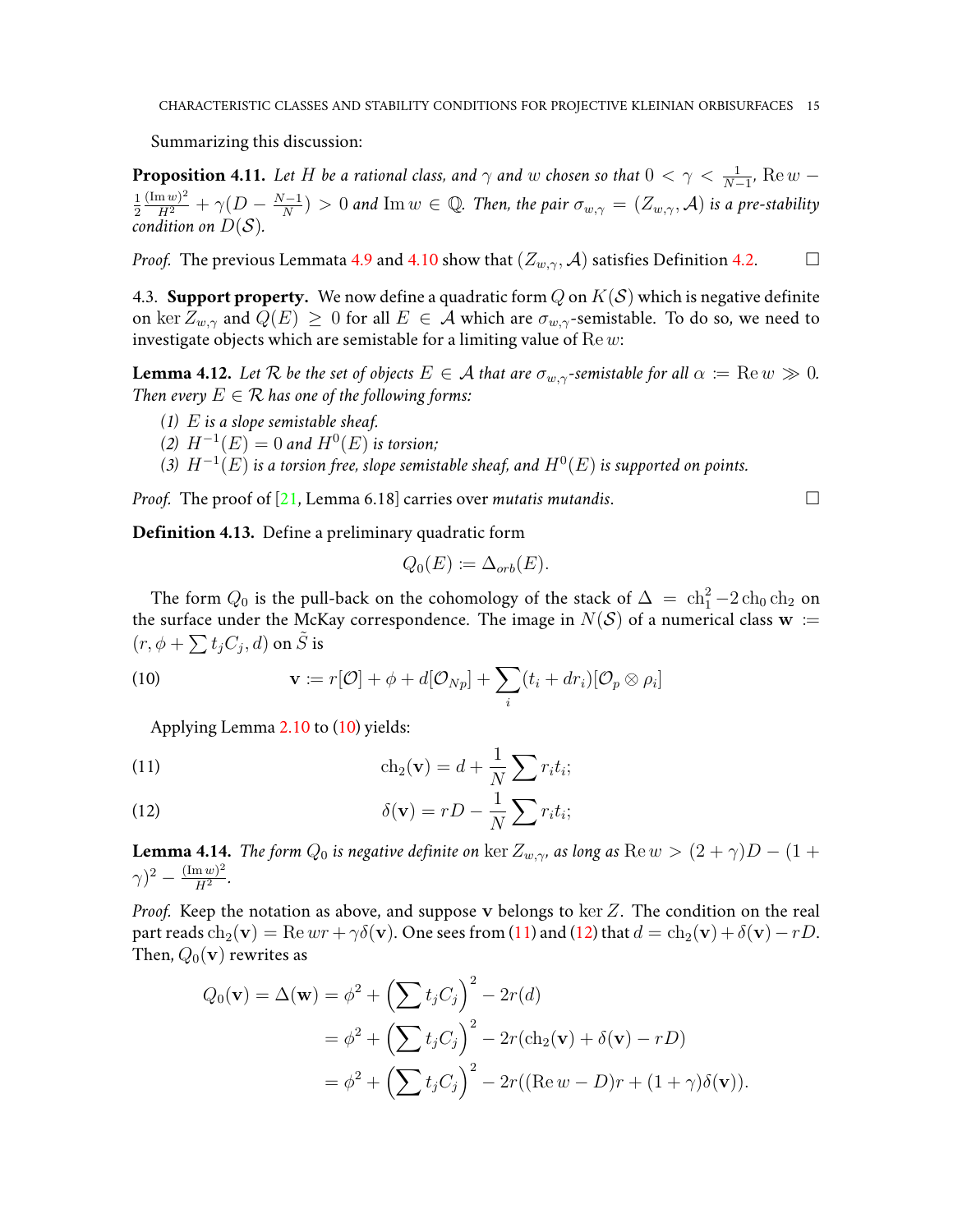Summarizing this discussion:

**Proposition 4.11.** Let H be a rational class, and  $\gamma$  and  $w$  chosen so that  $0 < \gamma < \frac{1}{N-1}$ ,  $\text{Re } w$  – 1 2  $\frac{(\text{Im } w)^2}{H^2} + \gamma (D - \frac{N-1}{N})$  $\frac{N-1}{N})>0$  and  $\text{Im}\,w\in\mathbb{Q}.$  Then, the pair  $\sigma_{w,\gamma}=(Z_{w,\gamma},\mathcal{A})$  is a pre-stability *condition on*  $D(S)$ *.* 

*Proof.* The previous Lemmata [4.9](#page-13-0) and [4.10](#page-13-1) show that  $(Z_{w,\gamma}, \mathcal{A})$  satisfies Definition [4.2.](#page-10-1)

<span id="page-14-1"></span>4.3. **Support property.** We now define a quadratic form  $Q$  on  $K(S)$  which is negative definite on ker  $Z_{w,\gamma}$  and  $Q(E) \geq 0$  for all  $E \in \mathcal{A}$  which are  $\sigma_{w,\gamma}$ -semistable. To do so, we need to investigate objects which are semistable for a limiting value of  $\text{Re } w$ :

**Lemma 4.12.** Let R be the set of objects  $E \in \mathcal{A}$  that are  $\sigma_{w,\gamma}$ -semistable for all  $\alpha := \text{Re } w \gg 0$ . *Then every*  $E \in \mathcal{R}$  *has one of the following forms:* 

- *(1)* E *is a slope semistable sheaf.*
- (2)  $H^{-1}(E) = 0$  and  $H^{0}(E)$  is torsion;
- (3)  $H^{-1}(E)$  is a torsion free, slope semistable sheaf, and  $H^{0}(E)$  is supported on points.

*Proof.* The proof of [\[21,](#page-21-1) Lemma 6.18] carries over *mutatis mutandis*.

**Definition 4.13.** Define a preliminary quadratic form

$$
Q_0(E) \coloneqq \Delta_{orb}(E).
$$

The form  $Q_0$  is the pull-back on the cohomology of the stack of  $\Delta ~=~ \ch_1^2 - 2\ch_0 \ch_2$  on the surface under the McKay correspondence. The image in  $N(S)$  of a numerical class  $w :=$  $(r, \phi + \sum t_j C_j, d)$  on  $\tilde S$  is

(10) 
$$
\mathbf{v} := r[\mathcal{O}] + \phi + d[\mathcal{O}_{Np}] + \sum_{i} (t_i + dr_i) [\mathcal{O}_p \otimes \rho_i]
$$

<span id="page-14-2"></span>Applying Lemma [2.10](#page-6-0) to [\(10\)](#page-14-2) yields:

<span id="page-14-3"></span>(11) 
$$
\operatorname{ch}_2(\mathbf{v}) = d + \frac{1}{N} \sum r_i t_i;
$$

<span id="page-14-4"></span>(12) 
$$
\delta(\mathbf{v}) = rD - \frac{1}{N} \sum r_i t_i;
$$

<span id="page-14-0"></span>**Lemma 4.14.** *The form*  $Q_0$  *is negative definite on* ker  $Z_{w, \gamma}$  *as long as*  $\text{Re } w > (2 + \gamma)D - (1 +$  $(\gamma)^2 - \frac{(\operatorname{Im} w)^2}{H^2}$  $\frac{\ln w}{H^2}$ .

*Proof.* Keep the notation as above, and suppose v belongs to ker Z. The condition on the real part reads  $ch_2(\mathbf{v}) = Re\,wr + \gamma \delta(\mathbf{v})$ . One sees from [\(11\)](#page-14-3) and [\(12\)](#page-14-4) that  $d = ch_2(\mathbf{v}) + \delta(\mathbf{v}) - rD$ . Then,  $Q_0(\mathbf{v})$  rewrites as

$$
Q_0(\mathbf{v}) = \Delta(\mathbf{w}) = \phi^2 + \left(\sum t_j C_j\right)^2 - 2r(d)
$$
  
=  $\phi^2 + \left(\sum t_j C_j\right)^2 - 2r(\text{ch}_2(\mathbf{v}) + \delta(\mathbf{v}) - rD)$   
=  $\phi^2 + \left(\sum t_j C_j\right)^2 - 2r((\text{Re } w - D)r + (1 + \gamma)\delta(\mathbf{v})).$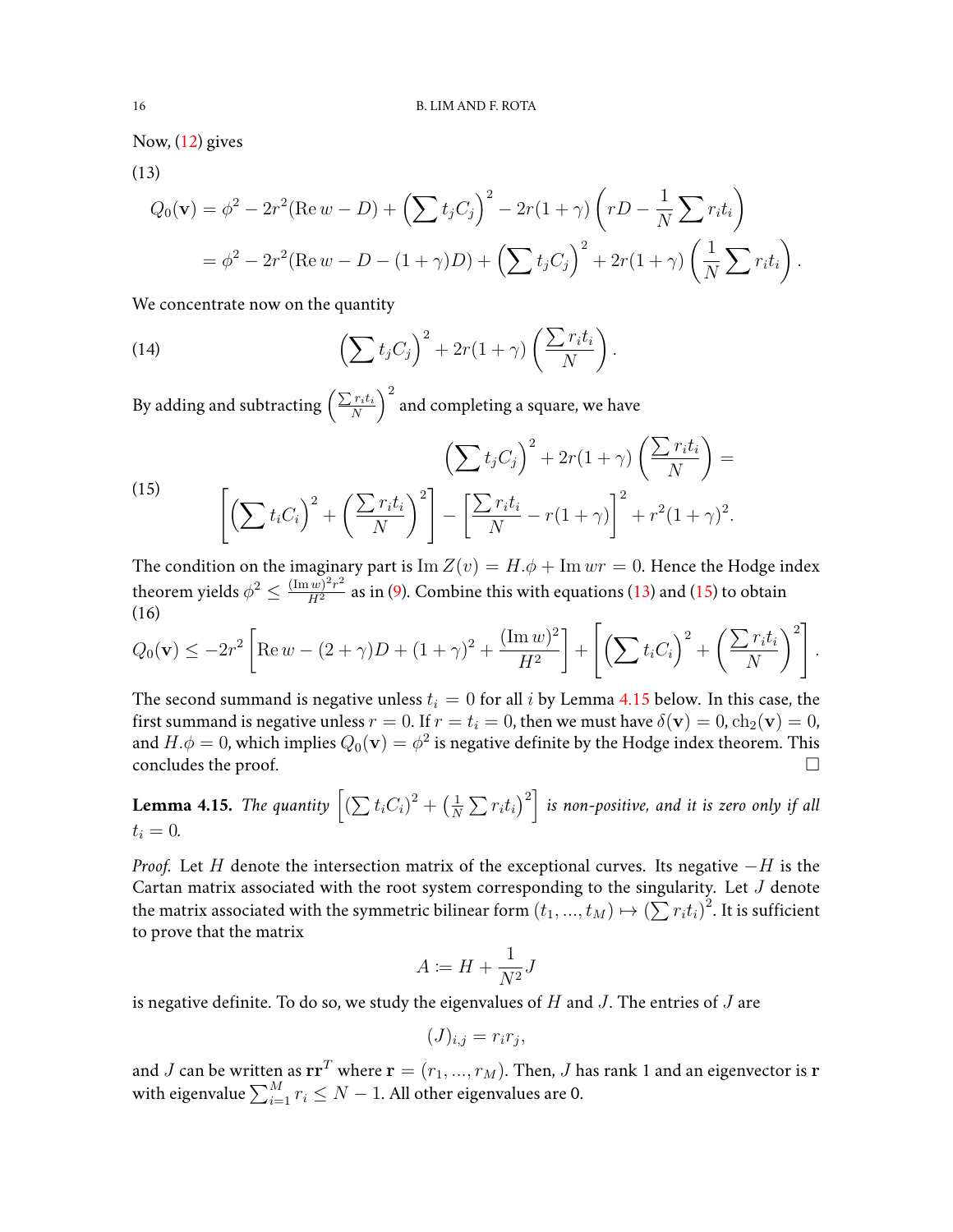Now, [\(12\)](#page-14-4) gives

(13)

<span id="page-15-0"></span>
$$
Q_0(\mathbf{v}) = \phi^2 - 2r^2 (\text{Re } w - D) + \left(\sum t_j C_j\right)^2 - 2r(1+\gamma)\left(rD - \frac{1}{N}\sum r_i t_i\right)
$$
  
=  $\phi^2 - 2r^2 (\text{Re } w - D - (1+\gamma)D) + \left(\sum t_j C_j\right)^2 + 2r(1+\gamma)\left(\frac{1}{N}\sum r_i t_i\right).$ 

We concentrate now on the quantity

(14) 
$$
\left(\sum t_j C_j\right)^2 + 2r(1+\gamma)\left(\frac{\sum r_i t_i}{N}\right).
$$

By adding and subtracting  $\left(\frac{\sum r_it_i}{N}\right)^2$  and completing a square, we have

<span id="page-15-1"></span>(15) 
$$
\left(\sum t_i C_j\right)^2 + 2r(1+\gamma)\left(\frac{\sum r_i t_i}{N}\right) = \left[\left(\sum t_i C_i\right)^2 + \left(\frac{\sum r_i t_i}{N}\right)^2\right] - \left[\frac{\sum r_i t_i}{N} - r(1+\gamma)\right]^2 + r^2(1+\gamma)^2.
$$

The condition on the imaginary part is  $\text{Im } Z(v) = H.\phi + \text{Im } wr = 0.$  Hence the Hodge index theorem yields  $\phi^2\leq \frac{(\text{Im}\,w)^2r^2}{H^2}$  as in [\(9\)](#page-13-2). Combine this with equations [\(13\)](#page-15-0) and [\(15\)](#page-15-1) to obtain (16)

$$
Q_0(\mathbf{v}) \le -2r^2 \left[ \text{Re } w - (2+\gamma)D + (1+\gamma)^2 + \frac{(\text{Im } w)^2}{H^2} \right] + \left[ \left( \sum t_i C_i \right)^2 + \left( \frac{\sum r_i t_i}{N} \right)^2 \right].
$$

The second summand is negative unless  $t_i = 0$  for all i by Lemma [4.15](#page-15-2) below. In this case, the first summand is negative unless  $r = 0$ . If  $r = t_i = 0$ , then we must have  $\delta(\mathbf{v}) = 0$ ,  $\text{ch}_2(\mathbf{v}) = 0$ , and  $H.\phi=0$ , which implies  $Q_0(\mathbf{v})=\phi^2$  is negative definite by the Hodge index theorem. This concludes the proof.  $\Box$ 

<span id="page-15-2"></span>**Lemma 4.15.** The quantity 
$$
\left[ (\sum t_i C_i)^2 + (\frac{1}{N} \sum r_i t_i)^2 \right]
$$
 is non-positive, and it is zero only if all  $t_i = 0$ .

*Proof.* Let H denote the intersection matrix of the exceptional curves. Its negative  $-H$  is the Cartan matrix associated with the root system corresponding to the singularity. Let  $J$  denote the matrix associated with the symmetric bilinear form  $(t_1,...,t_M) \mapsto {(\sum r_i t_i)}^2.$  It is sufficient to prove that the matrix

$$
A \coloneqq H + \frac{1}{N^2}J
$$

is negative definite. To do so, we study the eigenvalues of  $H$  and  $J$ . The entries of  $J$  are

$$
(J)_{i,j} = r_i r_j,
$$

and J can be written as  $rr^T$  where  $r = (r_1, ..., r_M)$ . Then, J has rank 1 and an eigenvector is r with eigenvalue  $\sum_{i=1}^M r_i \le N-1.$  All other eigenvalues are 0.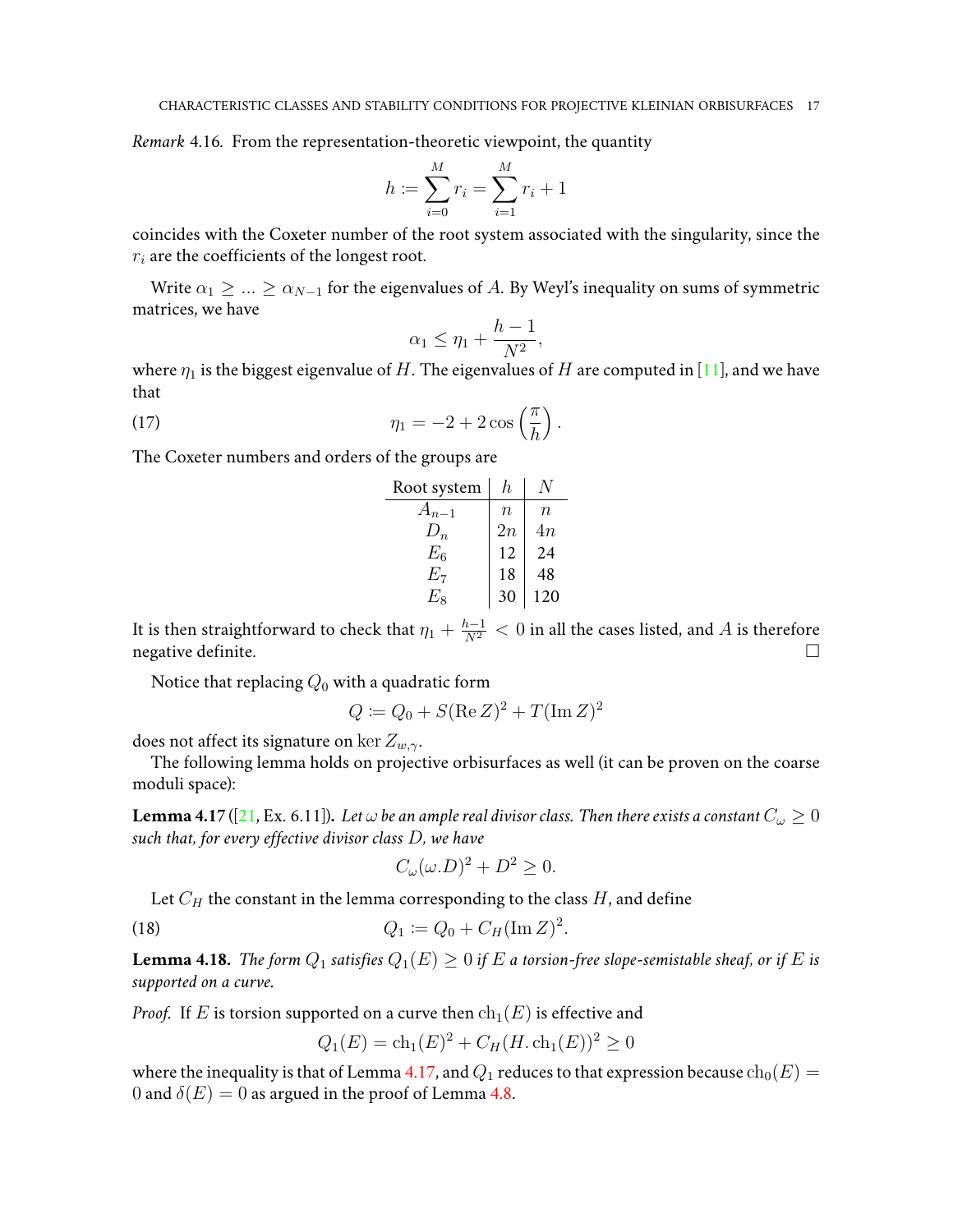*Remark* 4.16*.* From the representation-theoretic viewpoint, the quantity

$$
h \coloneqq \sum_{i=0}^{M} r_i = \sum_{i=1}^{M} r_i + 1
$$

coincides with the Coxeter number of the root system associated with the singularity, since the  $r_i$  are the coefficients of the longest root.

Write  $\alpha_1 \geq \ldots \geq \alpha_{N-1}$  for the eigenvalues of A. By Weyl's inequality on sums of symmetric matrices, we have

$$
\alpha_1 \le \eta_1 + \frac{h-1}{N^2},
$$

where  $\eta_1$  is the biggest eigenvalue of H. The eigenvalues of H are computed in [\[11\]](#page-20-14), and we have that

(17) 
$$
\eta_1 = -2 + 2\cos\left(\frac{\pi}{h}\right).
$$

The Coxeter numbers and orders of the groups are

| h,               |         |
|------------------|---------|
| $\boldsymbol{n}$ | $\it n$ |
| 2n               | 4n      |
| 12               | 24      |
| 18               | 48      |
| 30               | 120     |
|                  |         |

It is then straightforward to check that  $\eta_1 + \frac{h-1}{N^2} < 0$  in all the cases listed, and  $A$  is therefore negative definite.  $\Box$ 

Notice that replacing  $Q_0$  with a quadratic form

$$
Q := Q_0 + S(\text{Re}\,Z)^2 + T(\text{Im}\,Z)^2
$$

does not affect its signature on ker  $Z_{w,\gamma}$ .

The following lemma holds on projective orbisurfaces as well (it can be proven on the coarse moduli space):

<span id="page-16-0"></span>**Lemma 4.17** ([\[21,](#page-21-1) Ex. 6.11]). Let  $\omega$  be an ample real divisor class. Then there exists a constant  $C_{\omega} \geq 0$ *such that, for every effective divisor class* D*, we have*

$$
C_{\omega}(\omega.D)^2 + D^2 \ge 0.
$$

Let  $C_H$  the constant in the lemma corresponding to the class  $H$ , and define

(18) 
$$
Q_1 := Q_0 + C_H (\text{Im } Z)^2.
$$

**Lemma 4.18.** *The form*  $Q_1$  *satisfies*  $Q_1(E) \geq 0$  *if*  $E$  *a torsion-free slope-semistable sheaf, or if*  $E$  *is supported on a curve.*

*Proof.* If E is torsion supported on a curve then  $\ch_1(E)$  is effective and

$$
Q_1(E) = \text{ch}_1(E)^2 + C_H(H, \text{ch}_1(E))^2 \ge 0
$$

where the inequality is that of Lemma [4.17,](#page-16-0) and  $Q_1$  reduces to that expression because  $ch_0(E)$  = 0 and  $\delta(E) = 0$  as argued in the proof of Lemma [4.8.](#page-12-2)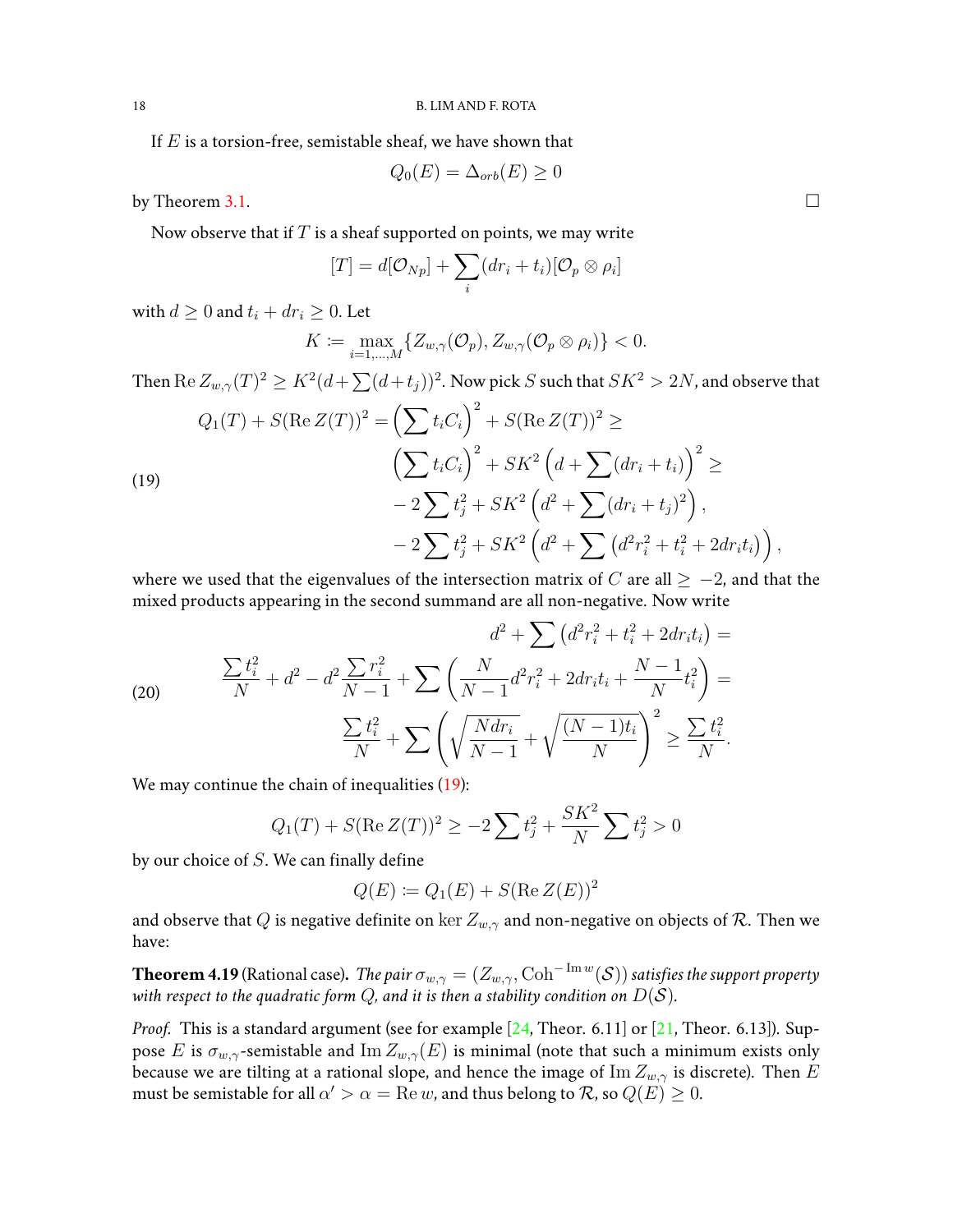If  $E$  is a torsion-free, semistable sheaf, we have shown that

$$
Q_0(E) = \Delta_{orb}(E) \ge 0
$$

by Theorem [3.1.](#page-7-0)  $\Box$ 

Now observe that if  $T$  is a sheaf supported on points, we may write

$$
[T] = d[\mathcal{O}_{Np}] + \sum_i (dr_i + t_i) [\mathcal{O}_p \otimes \rho_i]
$$

with  $d \geq 0$  and  $t_i + dr_i \geq 0$ . Let

$$
K := \max_{i=1,\dots,M} \{Z_{w,\gamma}(\mathcal{O}_p), Z_{w,\gamma}(\mathcal{O}_p \otimes \rho_i)\} < 0.
$$

Then  ${\rm Re}\, Z_{w,\gamma}(T)^2\ge K^2(d+\sum (d+t_j))^2.$  Now pick  $S$  such that  $SK^2>2N,$  and observe that

<span id="page-17-0"></span>(19)  
\n
$$
Q_1(T) + S(\operatorname{Re} Z(T))^2 = \left(\sum t_i C_i\right)^2 + S(\operatorname{Re} Z(T))^2 \ge
$$
\n
$$
\left(\sum t_i C_i\right)^2 + SK^2 \left(d + \sum (dr_i + t_i)\right)^2 \ge
$$
\n
$$
-2 \sum t_j^2 + SK^2 \left(d^2 + \sum (dr_i + t_j)^2\right),
$$
\n
$$
-2 \sum t_j^2 + SK^2 \left(d^2 + \sum (d^2 r_i^2 + t_i^2 + 2dr_i t_i)\right),
$$

where we used that the eigenvalues of the intersection matrix of C are all  $\geq -2$ , and that the mixed products appearing in the second summand are all non-negative. Now write

(20) 
$$
\frac{\sum t_i^2}{N} + d^2 - d^2 \frac{\sum r_i^2}{N-1} + \sum \left( \frac{N}{N-1} d^2 r_i^2 + 2 dr_i t_i + \frac{N-1}{N} t_i^2 \right) =
$$

$$
\frac{\sum t_i^2}{N} + \sum \left( \sqrt{\frac{N dr_i}{N-1}} + \sqrt{\frac{(N-1)t_i}{N}} \right)^2 \ge \frac{\sum t_i^2}{N}.
$$

We may continue the chain of inequalities [\(19\)](#page-17-0):

$$
Q_1(T) + S(\operatorname{Re} Z(T))^2 \ge -2\sum t_j^2 + \frac{SK^2}{N} \sum t_j^2 > 0
$$

by our choice of  $S$ . We can finally define

$$
Q(E) := Q_1(E) + S(\operatorname{Re} Z(E))^2
$$

and observe that Q is negative definite on ker  $Z_{w, \gamma}$  and non-negative on objects of R. Then we have:

**Theorem 4.19** (Rational case). *The pair*  $\sigma_{w,\gamma}=(Z_{w,\gamma},\text{Coh}^{-\text{Im}\,w}(\mathcal{S}))$  *satisfies the support property with respect to the quadratic form*  $Q$ *, and it is then a stability condition on*  $D(S)$ *.* 

*Proof.* This is a standard argument (see for example [\[24,](#page-21-5) Theor. 6.11] or [\[21,](#page-21-1) Theor. 6.13]). Suppose E is  $\sigma_{w,\gamma}$ -semistable and Im  $Z_{w,\gamma}(E)$  is minimal (note that such a minimum exists only because we are tilting at a rational slope, and hence the image of  $\text{Im } Z_{w,\gamma}$  is discrete). Then E must be semistable for all  $\alpha'>\alpha={\rm Re}\, w$ , and thus belong to  ${\cal R}$ , so  $Q(E)\geq 0.$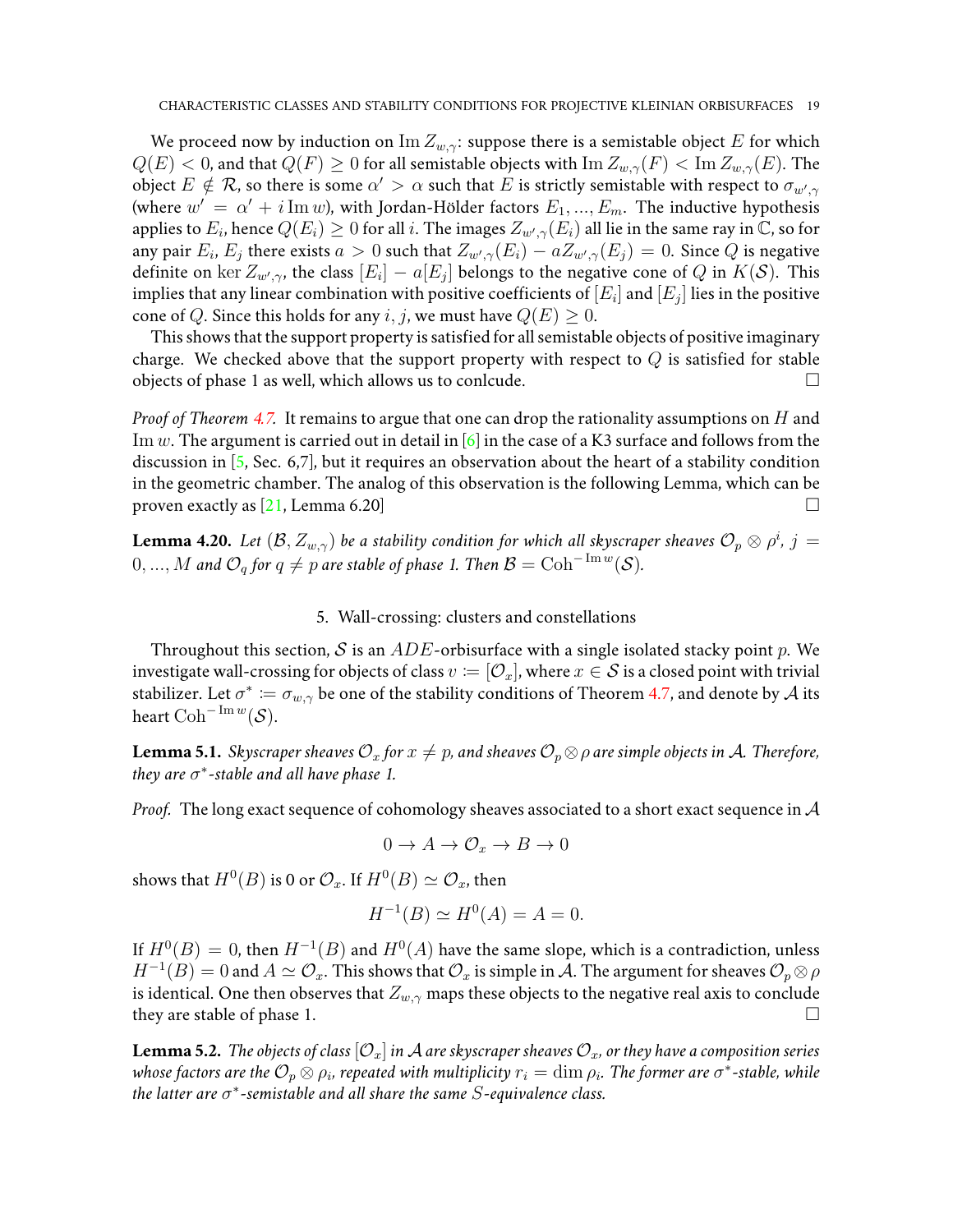We proceed now by induction on  $\text{Im } Z_{w,\gamma}$ : suppose there is a semistable object E for which  $Q(E) < 0$ , and that  $Q(F) \ge 0$  for all semistable objects with  $\text{Im } Z_{w,\gamma}(F) < \text{Im } Z_{w,\gamma}(E)$ . The object  $E\notin \mathcal{R}$ , so there is some  $\alpha'>\alpha$  such that  $E$  is strictly semistable with respect to  $\sigma_{w',\gamma}$ (where  $w' = \alpha' + i \operatorname{Im} w$ ), with Jordan-Hölder factors  $E_1, ..., E_m$ . The inductive hypothesis applies to  $E_i$ , hence  $Q(E_i)\geq 0$  for all  $i.$  The images  $Z_{w',\gamma}(E_i)$  all lie in the same ray in  $\mathbb {C}$ , so for any pair  $E_i$ ,  $E_j$  there exists  $a>0$  such that  $Z_{w',\gamma}(E_i)-aZ_{w',\gamma}(E_j)=0.$  Since  $Q$  is negative definite on  $\ker Z_{w',\gamma}$ , the class  $[E_i] - a[E_j]$  belongs to the negative cone of  $Q$  in  $K(\mathcal{S})$ . This implies that any linear combination with positive coefficients of  $\left[E_i\right]$  and  $\left[E_j\right]$  lies in the positive cone of Q. Since this holds for any i, j, we must have  $Q(E) \geq 0$ .

This shows that the support property is satisfied for all semistable objects of positive imaginary charge. We checked above that the support property with respect to  $Q$  is satisfied for stable objects of phase 1 as well, which allows us to conlcude.  $\qquad \qquad \Box$ 

*Proof of Theorem [4.7.](#page-12-0)* It remains to argue that one can drop the rationality assumptions on H and Im w. The argument is carried out in detail in [\[6\]](#page-20-2) in the case of a K3 surface and follows from the discussion in [\[5,](#page-20-0) Sec. 6,7], but it requires an observation about the heart of a stability condition in the geometric chamber. The analog of this observation is the following Lemma, which can be proven exactly as  $[21, \text{Lemma } 6.20]$  $[21, \text{Lemma } 6.20]$ 

**Lemma 4.20.** Let  $(\mathcal{B}, Z_{w,\gamma})$  be a stability condition for which all skyscraper sheaves  $\mathcal{O}_p \otimes \rho^i$ ,  $j = 1$  $0,...,M$  and  $\mathcal{O}_q$  for  $q\neq p$  are stable of phase 1. Then  $\mathcal{B}=\mathrm{Coh}^{-\mathop{\mathrm{Im}} w}(\mathcal{S}).$ 

5. Wall-crossing: clusters and constellations

<span id="page-18-0"></span>Throughout this section, S is an  $ADE$ -orbisurface with a single isolated stacky point p. We investigate wall-crossing for objects of class  $v := [\mathcal{O}_x]$ , where  $x \in \mathcal{S}$  is a closed point with trivial stabilizer. Let  $\sigma^* \coloneqq \sigma_{w,\gamma}$  be one of the stability conditions of Theorem [4.7,](#page-12-0) and denote by  ${\mathcal{A}}$  its heart  $\mathrm{Coh}^{-\mathrm{Im}\,w}(\mathcal{S}).$ 

<span id="page-18-1"></span>**Lemma 5.1.** *Skyscraper sheaves*  $\mathcal{O}_x$  *for*  $x \neq p$ *, and sheaves*  $\mathcal{O}_p \otimes \rho$  *are simple objects in* A. *Therefore, they are* σ ∗ *-stable and all have phase 1.*

*Proof.* The long exact sequence of cohomology sheaves associated to a short exact sequence in A

$$
0 \to A \to \mathcal{O}_x \to B \to 0
$$

shows that  $H^0(B)$  is 0 or  $\mathcal{O}_x.$  If  $H^0(B)\simeq \mathcal{O}_x,$  then

$$
H^{-1}(B) \simeq H^0(A) = A = 0.
$$

If  $H^0(B) = 0$ , then  $H^{-1}(B)$  and  $H^0(A)$  have the same slope, which is a contradiction, unless  $H^{-1}(B)=0$  and  $A\simeq\mathcal{O}_x.$  This shows that  $\mathcal{O}_x$  is simple in  $\mathcal{A}.$  The argument for sheaves  $\mathcal{O}_p\otimes\rho$ is identical. One then observes that  $Z_{w, \gamma}$  maps these objects to the negative real axis to conclude they are stable of phase 1.

**Lemma 5.2.** *The objects of class*  $[O_x]$  *in A are skyscraper sheaves*  $O_x$ , *or they have a composition series* whose factors are the  $\mathcal{O}_p\otimes\rho_i$ , repeated with multiplicity  $r_i=\dim\rho_i.$  The former are  $\sigma^*$ -stable, while *the latter are* σ ∗ *-semistable and all share the same* S*-equivalence class.*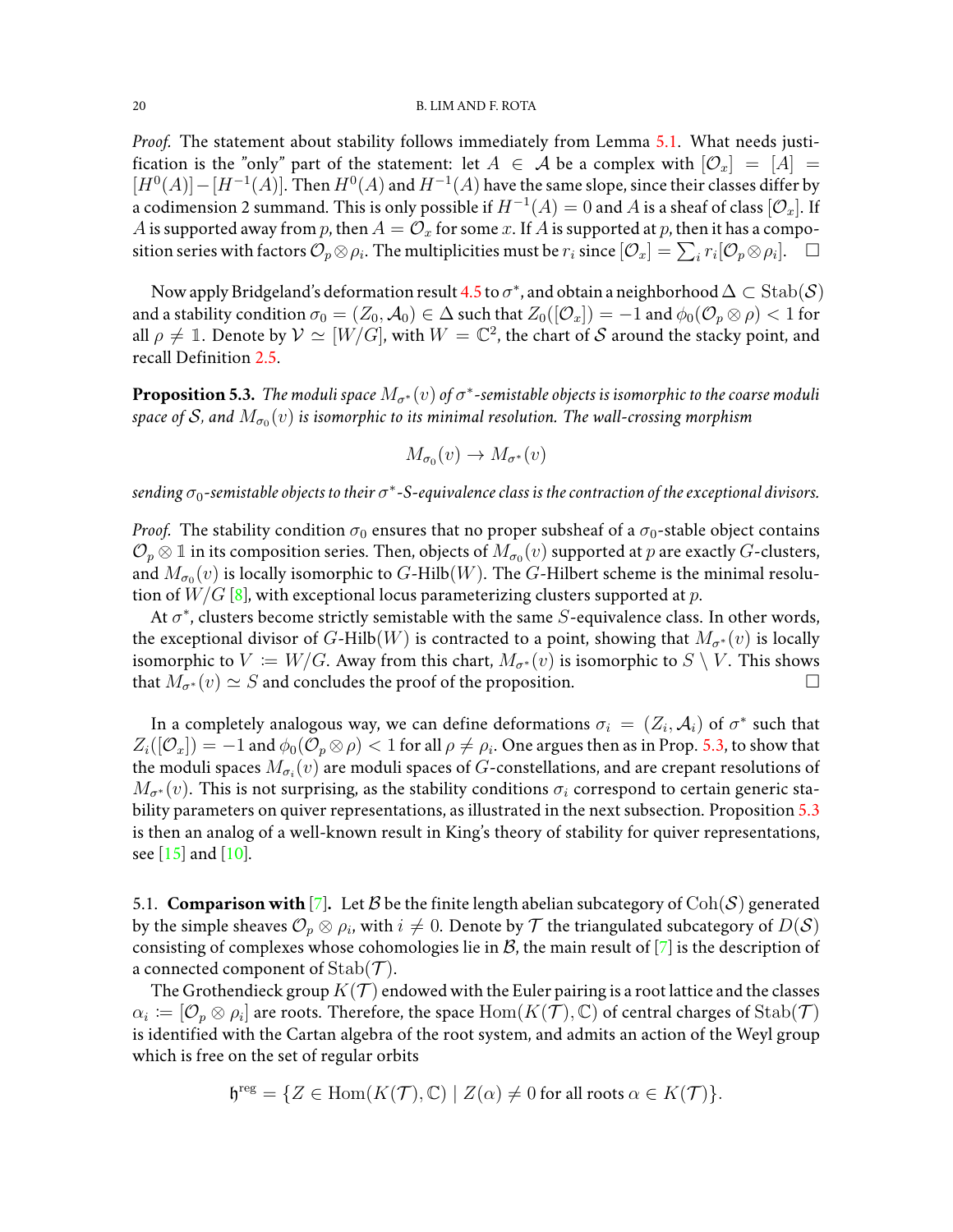#### 20 B. LIM AND F. ROTA

*Proof.* The statement about stability follows immediately from Lemma [5.1.](#page-18-1) What needs justification is the "only" part of the statement: let  $A \in \mathcal{A}$  be a complex with  $[\mathcal{O}_x] = [A] =$  $[H^0(A)] - [H^{-1}(A)]$ . Then  $H^0(A)$  and  $H^{-1}(A)$  have the same slope, since their classes differ by a codimension 2 summand. This is only possible if  $H^{-1}(A)=0$  and  $A$  is a sheaf of class  $[\mathcal{O}_x].$  If A is supported away from  $p$ , then  $A = \mathcal{O}_x$  for some  $x$ . If  $A$  is supported at  $p$ , then it has a composition series with factors  $\mathcal{O}_p \otimes \rho_i$ . The multiplicities must be  $r_i$  since  $[\mathcal{O}_x]=\sum_i r_i [\mathcal{O}_p \otimes \rho_i]$ .  $\Box$ 

Now apply Bridgeland's deformation result [4.5](#page-11-0) to  $\sigma^*$ , and obtain a neighborhood  $\Delta\subset\operatorname{Stab}(\mathcal{S})$ and a stability condition  $\sigma_0 = (Z_0, A_0) \in \Delta$  such that  $Z_0([\mathcal{O}_x]) = -1$  and  $\phi_0(\mathcal{O}_p \otimes \rho) < 1$  for all  $\rho \neq 1$ . Denote by  $\mathcal{V} \simeq [W/G]$ , with  $W = \mathbb{C}^2$ , the chart of  $\mathcal S$  around the stacky point, and recall Definition [2.5.](#page-3-1)

<span id="page-19-0"></span>**Proposition 5.3.** The moduli space  $M_{\sigma^*}(v)$  of  $\sigma^*$ -semistable objects is isomorphic to the coarse moduli space of  $\mathcal S$ , and  $M_{\sigma_0}(v)$  is isomorphic to its minimal resolution. The wall-crossing morphism

$$
M_{\sigma_0}(v) \to M_{\sigma^*}(v)
$$

sending  $\sigma_0$ -semistable objects to their  $\sigma^*$ -S-equivalence class is the contraction of the exceptional divisors.

*Proof.* The stability condition  $\sigma_0$  ensures that no proper subsheaf of a  $\sigma_0$ -stable object contains  $\mathcal{O}_p\otimes\mathbb{1}$  in its composition series. Then, objects of  $\tilde{M_{\sigma_0}}(v)$  supported at  $p$  are exactly  $G$ -clusters, and  $M_{\sigma_0}(v)$  is locally isomorphic to  $G$ -Hilb $(W)$ . The  $G$ -Hilbert scheme is the minimal resolution of  $W/G$  [\[8\]](#page-20-7), with exceptional locus parameterizing clusters supported at p.

At  $\sigma^*$ , clusters become strictly semistable with the same  $S$ -equivalence class. In other words, the exceptional divisor of G-Hilb(W) is contracted to a point, showing that  $M_{\sigma^*}(v)$  is locally isomorphic to  $V \coloneqq W/G$ . Away from this chart,  $M_{\sigma^*}(v)$  is isomorphic to  $S \setminus V$ . This shows that  $M_{\sigma^*}(v) \simeq S$  and concludes the proof of the proposition.

In a completely analogous way, we can define deformations  $\sigma_i\,=\,(Z_i,\mathcal{A}_i)$  of  $\sigma^*$  such that  $Z_i([\mathcal{O}_x])=-1$  and  $\phi_0(\mathcal{O}_p\otimes\rho)< 1$  for all  $\rho\neq\rho_i.$  One argues then as in Prop. [5.3,](#page-19-0) to show that the moduli spaces  $M_{\sigma_i}(v)$  are moduli spaces of  $G$ -constellations, and are crepant resolutions of  $M_{\sigma^*}(v)$ . This is not surprising, as the stability conditions  $\sigma_i$  correspond to certain generic stability parameters on quiver representations, as illustrated in the next subsection. Proposition [5.3](#page-19-0) is then an analog of a well-known result in King's theory of stability for quiver representations, see [\[15\]](#page-20-8) and [\[10\]](#page-20-15).

<span id="page-19-1"></span>5.1. **Comparison with** [\[7\]](#page-20-4). Let B be the finite length abelian subcategory of  $\text{Coh}(\mathcal{S})$  generated by the simple sheaves  $\mathcal{O}_p\otimes\rho_i$ , with  $i\neq 0.$  Denote by  $\mathcal T$  the triangulated subcategory of  $D(\mathcal S)$ consisting of complexes whose cohomologies lie in  $B$ , the main result of  $[7]$  is the description of a connected component of  $\mathrm{Stab}(\mathcal{T})$ .

The Grothendieck group  $K(\mathcal{T})$  endowed with the Euler pairing is a root lattice and the classes  $\alpha_i \coloneqq [\mathcal{O}_p \otimes \rho_i]$  are roots. Therefore, the space  $\text{Hom}(K(\tilde{\mathcal{T}}), \mathbb{C})$  of central charges of  $\text{Stab}(\mathcal{T})$ is identified with the Cartan algebra of the root system, and admits an action of the Weyl group which is free on the set of regular orbits

$$
\mathfrak{h}^{\text{reg}} = \{ Z \in \text{Hom}(K(\mathcal{T}), \mathbb{C}) \mid Z(\alpha) \neq 0 \text{ for all roots } \alpha \in K(\mathcal{T}) \}.
$$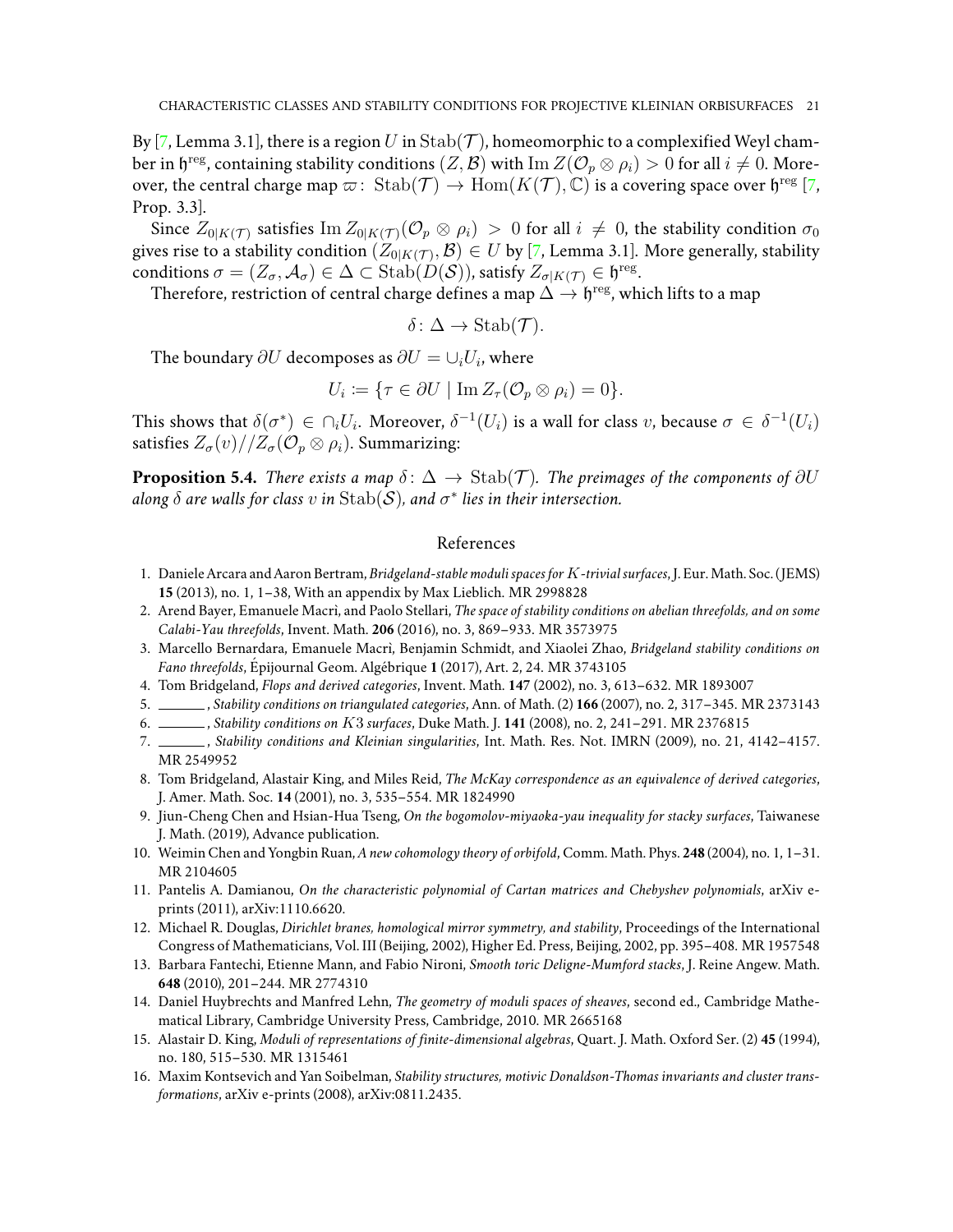By [\[7,](#page-20-4) Lemma 3.1], there is a region U in  $\text{Stab}(\mathcal{T})$ , homeomorphic to a complexified Weyl chamber in  $\mathfrak h^\text{reg}$ , containing stability conditions  $(Z,\mathcal B)$  with  $\mathrm{Im}\,Z(\mathcal O_p\otimes\rho_i)>0$  for all  $i\neq 0.$  Moreover, the central charge map  $\varpi\colon \operatorname{Stab}(\mathcal{T}) \to \operatorname{Hom}(K(\mathcal{T}), \mathbb{C})$  is a covering space over  $\mathfrak{h}^{\rm reg}$  [\[7,](#page-20-4) Prop. 3.3].

Since  $Z_{0|K(\mathcal{T})}$  satisfies  $\text{Im } Z_{0|K(\mathcal{T})}(\mathcal{O}_p \otimes \rho_i) > 0$  for all  $i \neq 0$ , the stability condition  $\sigma_0$ gives rise to a stability condition  $(Z_{0|K(\mathcal{T})},\mathcal{B})\in U$  by [\[7,](#page-20-4) Lemma 3.1]. More generally, stability conditions  $\sigma=(Z_\sigma,\mathcal A_\sigma)\in\Delta\subset\operatorname{Stab}(D(\mathcal S))$ , satisfy  $Z_{\sigma|K(\mathcal T)}\in\mathfrak h^\mathrm{reg}.$ 

Therefore, restriction of central charge defines a map  $\Delta \to \mathfrak{h}^{\rm reg}$ , which lifts to a map

$$
\delta \colon \Delta \to \mathrm{Stab}(\mathcal{T}).
$$

The boundary  $\partial U$  decomposes as  $\partial U = \cup_i U_i$ , where

$$
U_i \coloneqq \{ \tau \in \partial U \mid \text{Im } Z_\tau(\mathcal{O}_p \otimes \rho_i) = 0 \}.
$$

This shows that  $\delta(\sigma^*) \in \cap_i U_i$ . Moreover,  $\delta^{-1}(U_i)$  is a wall for class  $v$ , because  $\sigma \in \delta^{-1}(U_i)$ satisfies  $Z_{\sigma}(v)/Z_{\sigma}(\mathcal{O}_p\otimes\rho_i)$ . Summarizing:

**Proposition 5.4.** *There exists a map*  $\delta: \Delta \to \text{Stab}(\mathcal{T})$ *. The preimages of the components of*  $\partial U$ along  $\delta$  are walls for class  $v$  in  $\mathrm{Stab}(\mathcal{S})$ , and  $\sigma^*$  lies in their intersection.

## References

- <span id="page-20-3"></span>1. Daniele Arcara and Aaron Bertram, *Bridgeland-stable moduli spaces for* K*-trivial surfaces*, J. Eur.Math. Soc. ( JEMS) **15** (2013), no. 1, 1–38, With an appendix by Max Lieblich. MR 2998828
- <span id="page-20-5"></span>2. Arend Bayer, Emanuele Macrì, and Paolo Stellari, *The space of stability conditions on abelian threefolds, and on some Calabi-Yau threefolds*, Invent. Math. **206** (2016), no. 3, 869–933. MR 3573975
- <span id="page-20-6"></span>3. Marcello Bernardara, Emanuele Macr`ı, Benjamin Schmidt, and Xiaolei Zhao, *Bridgeland stability conditions on Fano threefolds*, Épijournal Geom. Algébrique 1 (2017), Art. 2, 24. MR 3743105
- <span id="page-20-10"></span>4. Tom Bridgeland, *Flops and derived categories*, Invent. Math. **147** (2002), no. 3, 613–632. MR 1893007
- <span id="page-20-0"></span>5. , *Stability conditions on triangulated categories*, Ann. of Math. (2) **166** (2007), no. 2, 317–345. MR 2373143
- <span id="page-20-2"></span>6. , *Stability conditions on* K3 *surfaces*, Duke Math. J. **141** (2008), no. 2, 241–291. MR 2376815
- <span id="page-20-4"></span>7. , *Stability conditions and Kleinian singularities*, Int. Math. Res. Not. IMRN (2009), no. 21, 4142–4157. MR 2549952
- <span id="page-20-7"></span>8. Tom Bridgeland, Alastair King, and Miles Reid, *The McKay correspondence as an equivalence of derived categories*, J. Amer. Math. Soc. **14** (2001), no. 3, 535–554. MR 1824990
- <span id="page-20-11"></span>9. Jiun-Cheng Chen and Hsian-Hua Tseng, *On the bogomolov-miyaoka-yau inequality for stacky surfaces*, Taiwanese J. Math. (2019), Advance publication.
- <span id="page-20-15"></span>10. Weimin Chen and Yongbin Ruan, *A new cohomology theory of orbifold*, Comm. Math. Phys. **248** (2004), no. 1, 1–31. MR 2104605
- <span id="page-20-14"></span>11. Pantelis A. Damianou, *On the characteristic polynomial of Cartan matrices and Chebyshev polynomials*, arXiv eprints (2011), arXiv:1110.6620.
- <span id="page-20-1"></span>12. Michael R. Douglas, *Dirichlet branes, homological mirror symmetry, and stability*, Proceedings of the International Congress of Mathematicians, Vol. III (Beijing, 2002), Higher Ed. Press, Beijing, 2002, pp. 395–408. MR 1957548
- <span id="page-20-9"></span>13. Barbara Fantechi, Etienne Mann, and Fabio Nironi, *Smooth toric Deligne-Mumford stacks*, J. Reine Angew. Math. **648** (2010), 201–244. MR 2774310
- <span id="page-20-13"></span>14. Daniel Huybrechts and Manfred Lehn, *The geometry of moduli spaces of sheaves*, second ed., Cambridge Mathematical Library, Cambridge University Press, Cambridge, 2010. MR 2665168
- <span id="page-20-8"></span>15. Alastair D. King, *Moduli of representations of finite-dimensional algebras*, Quart. J. Math. Oxford Ser. (2) **45** (1994), no. 180, 515–530. MR 1315461
- <span id="page-20-12"></span>16. Maxim Kontsevich and Yan Soibelman, *Stability structures, motivic Donaldson-Thomas invariants and cluster transformations*, arXiv e-prints (2008), arXiv:0811.2435.